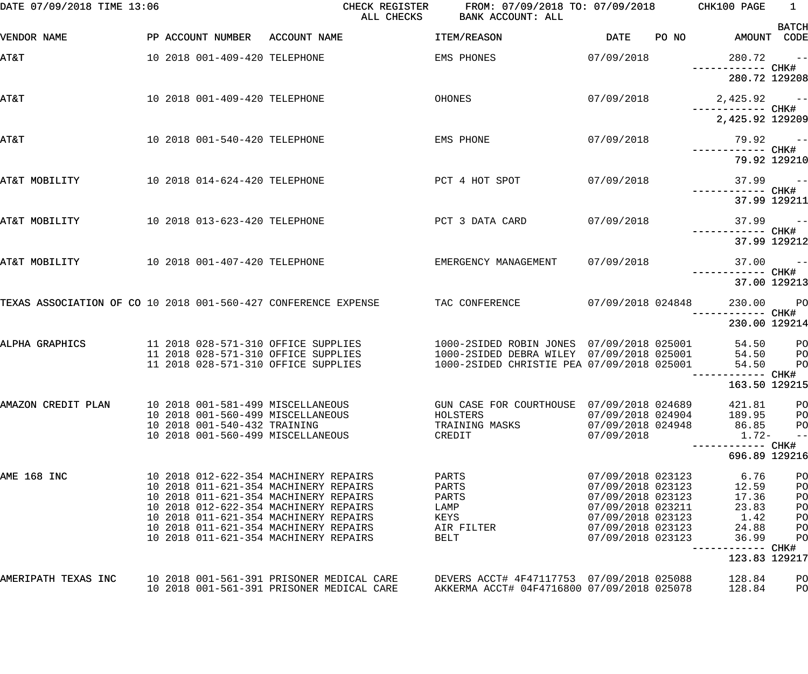| DATE 07/09/2018 TIME 13:06                                     |                               | CHECK REGISTER<br>ALL CHECKS                                                           | FROM: 07/09/2018 TO: 07/09/2018 CHK100 PAGE<br>BANK ACCOUNT: ALL                        |                                        |       |                                   | $\overline{1}$       |
|----------------------------------------------------------------|-------------------------------|----------------------------------------------------------------------------------------|-----------------------------------------------------------------------------------------|----------------------------------------|-------|-----------------------------------|----------------------|
| VENDOR NAME                                                    |                               | PP ACCOUNT NUMBER ACCOUNT NAME                                                         | ITEM/REASON                                                                             | DATE                                   | PO NO | AMOUNT CODE                       | <b>BATCH</b>         |
| <b>T&amp;TA</b>                                                | 10 2018 001-409-420 TELEPHONE |                                                                                        | EMS PHONES                                                                              | 07/09/2018                             |       | 280.72                            | $\sim$ $ -$          |
|                                                                |                               |                                                                                        |                                                                                         |                                        |       | 280.72 129208                     |                      |
| AT&T                                                           | 10 2018 001-409-420 TELEPHONE |                                                                                        | OHONES                                                                                  | 07/09/2018                             |       | $2,425.92$ --                     |                      |
|                                                                |                               |                                                                                        |                                                                                         |                                        |       | 2,425.92 129209                   |                      |
| AT&T                                                           | 10 2018 001-540-420 TELEPHONE |                                                                                        | EMS PHONE                                                                               | 07/09/2018                             |       | $79.92 - -$                       |                      |
|                                                                |                               |                                                                                        |                                                                                         |                                        |       | 79.92 129210                      |                      |
| AT&T MOBILITY                                                  | 10 2018 014-624-420 TELEPHONE |                                                                                        | PCT 4 HOT SPOT                                                                          | 07/09/2018                             |       | ------------ CHK#                 | $37.99 - -$          |
|                                                                |                               |                                                                                        |                                                                                         |                                        |       |                                   | 37.99 129211         |
| AT&T MOBILITY                                                  | 10 2018 013-623-420 TELEPHONE |                                                                                        | PCT 3 DATA CARD                                                                         | 07/09/2018                             |       | ------------ CHK#                 | $37.99 - -$          |
|                                                                |                               |                                                                                        |                                                                                         |                                        |       |                                   | 37.99 129212         |
| AT&T MOBILITY                                                  | 10 2018 001-407-420 TELEPHONE |                                                                                        | EMERGENCY MANAGEMENT                                                                    | 07/09/2018                             |       |                                   | $37.00 - -$          |
| TEXAS ASSOCIATION OF CO 10 2018 001-560-427 CONFERENCE EXPENSE |                               |                                                                                        | TAC CONFERENCE                                                                          | 07/09/2018 024848                      |       | 37.00 129213<br>230.00 PO         |                      |
|                                                                |                               |                                                                                        |                                                                                         |                                        |       | ----------- CHK#<br>230.00 129214 |                      |
| ALPHA GRAPHICS                                                 |                               | 11 2018 028-571-310 OFFICE SUPPLIES                                                    | 1000-2SIDED ROBIN JONES 07/09/2018 025001                                               |                                        |       | 54.50                             | P <sub>O</sub>       |
|                                                                |                               | 11 2018 028-571-310 OFFICE SUPPLIES<br>11 2018 028-571-310 OFFICE SUPPLIES             | 1000-2SIDED DEBRA WILEY 07/09/2018 025001<br>1000-2SIDED CHRISTIE PEA 07/09/2018 025001 |                                        |       | 54.50<br>54.50                    | $_{\rm PO}$<br>PO    |
|                                                                |                               |                                                                                        |                                                                                         |                                        |       | ----------- CHK#<br>163.50 129215 |                      |
| AMAZON CREDIT PLAN                                             |                               | 10 2018 001-581-499 MISCELLANEOUS                                                      | GUN CASE FOR COURTHOUSE 07/09/2018 024689                                               |                                        |       | 421.81                            | PO                   |
|                                                                | 10 2018 001-540-432 TRAINING  | 10 2018 001-560-499 MISCELLANEOUS                                                      | HOLSTERS<br>TRAINING MASKS                                                              | 07/09/2018 024904<br>07/09/2018 024948 |       | 189.95<br>86.85                   | PО<br>P <sub>O</sub> |
|                                                                |                               | 10 2018 001-560-499 MISCELLANEOUS                                                      | CREDIT                                                                                  | 07/09/2018                             |       | $1.72-$                           | $\qquad \qquad -$    |
|                                                                |                               |                                                                                        |                                                                                         |                                        |       | 696.89 129216                     |                      |
| AME 168 INC                                                    |                               | 10 2018 012-622-354 MACHINERY REPAIRS<br>10 2018 011-621-354 MACHINERY REPAIRS         | PARTS<br>PARTS                                                                          | 07/09/2018 023123<br>07/09/2018 023123 |       | 6.76<br>12.59                     | PO<br>PO             |
|                                                                |                               | 10 2018 011-621-354 MACHINERY REPAIRS                                                  | PARTS                                                                                   | 07/09/2018 023123                      |       | 17.36                             | PO                   |
|                                                                |                               | 10 2018 012-622-354 MACHINERY REPAIRS                                                  | LAMP                                                                                    | 07/09/2018 023211                      |       | 23.83                             | P <sub>O</sub>       |
|                                                                |                               | 10 2018 011-621-354 MACHINERY REPAIRS<br>10 2018 011-621-354 MACHINERY REPAIRS         | KEYS                                                                                    | 07/09/2018 023123                      |       | 1.42<br>24.88                     | PO                   |
|                                                                |                               | 10 2018 011-621-354 MACHINERY REPAIRS                                                  | AIR FILTER<br><b>BELT</b>                                                               | 07/09/2018 023123<br>07/09/2018 023123 |       | 36.99                             | PO<br>PO             |
|                                                                |                               |                                                                                        |                                                                                         |                                        |       |                                   |                      |
|                                                                |                               |                                                                                        |                                                                                         |                                        |       | 123.83 129217                     |                      |
| AMERIPATH TEXAS INC                                            |                               | 10 2018 001-561-391 PRISONER MEDICAL CARE<br>10 2018 001-561-391 PRISONER MEDICAL CARE | DEVERS ACCT# 4F47117753 07/09/2018 025088<br>AKKERMA ACCT# 04F4716800 07/09/2018 025078 |                                        |       | 128.84<br>128.84                  | PO<br>PO             |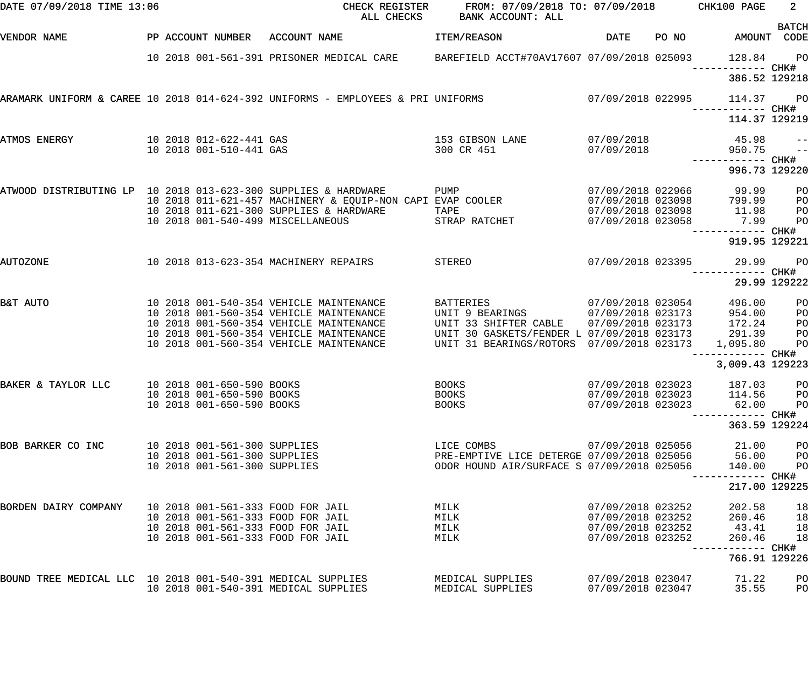| DATE 07/09/2018 TIME 13:06                                     |                                   |                                                                                 | CHECK REGISTER FROM: 07/09/2018 TO: 07/09/2018 CHK100 PAGE<br>ALL CHECKS BANK ACCOUNT: ALL |                          |       |                                    | $2^{\circ}$           |
|----------------------------------------------------------------|-----------------------------------|---------------------------------------------------------------------------------|--------------------------------------------------------------------------------------------|--------------------------|-------|------------------------------------|-----------------------|
| VENDOR NAME                                                    | PP ACCOUNT NUMBER ACCOUNT NAME    |                                                                                 | ITEM/REASON                                                                                | DATE                     | PO NO | AMOUNT CODE                        | <b>BATCH</b>          |
|                                                                |                                   | 10 2018 001-561-391 PRISONER MEDICAL CARE                                       | BAREFIELD ACCT#70AV17607 07/09/2018 025093                                                 |                          |       | 128.84                             | $P$ O<br>CHK#         |
|                                                                |                                   |                                                                                 |                                                                                            |                          |       | 386.52 129218                      |                       |
|                                                                |                                   | ARAMARK UNIFORM & CAREE 10 2018 014-624-392 UNIFORMS - EMPLOYEES & PRI UNIFORMS | $07/09/2018$ 022995                                                                        |                          |       | 114.37                             | $P$ O                 |
|                                                                |                                   |                                                                                 |                                                                                            |                          |       | 114.37 129219                      |                       |
| ATMOS ENERGY                                                   | 10 2018 001-510-441 GAS           | 10 2018 012-622-441 GAS                                                         | 153 GIBSON LANE<br>300 CR 451                                                              | 07/09/2018<br>07/09/2018 |       | 45.98<br>950.75                    | $ -$<br>$\frac{1}{2}$ |
|                                                                |                                   |                                                                                 |                                                                                            |                          |       | ------------ CHK#<br>996.73 129220 |                       |
| ATWOOD DISTRIBUTING LP 10 2018 013-623-300 SUPPLIES & HARDWARE |                                   |                                                                                 | PUMP                                                                                       |                          |       | 07/09/2018 022966 99.99            | P <sub>O</sub>        |
|                                                                |                                   | 10 2018 011-621-457 MACHINERY & EQUIP-NON CAPI EVAP COOLER                      |                                                                                            | 07/09/2018 023098        |       | 799.99                             | P <sub>O</sub>        |
|                                                                |                                   | 10 2018 011-621-300 SUPPLIES & HARDWARE                                         | TAPE                                                                                       |                          |       | 07/09/2018 023098 11.98            | P <sub>O</sub>        |
|                                                                |                                   | 10 2018 001-540-499 MISCELLANEOUS                                               | STRAP RATCHET                                                                              | 07/09/2018 023058        |       | 7.99                               | P <sub>O</sub>        |
|                                                                |                                   |                                                                                 |                                                                                            |                          |       | 919.95 129221                      |                       |
| <b>AUTOZONE</b>                                                |                                   | 10 2018 013-623-354 MACHINERY REPAIRS                                           | STEREO                                                                                     | 07/09/2018 023395        |       | 29.99<br>---------                 | PO<br>CHK#            |
|                                                                |                                   |                                                                                 |                                                                                            |                          |       |                                    | 29.99 129222          |
| B&T AUTO                                                       |                                   | 10 2018 001-540-354 VEHICLE MAINTENANCE                                         | BATTERIES                                                                                  | 07/09/2018 023054        |       | 496.00                             | PO                    |
|                                                                |                                   | 10 2018 001-560-354 VEHICLE MAINTENANCE                                         | UNIT 9 BEARINGS                                                                            | 07/09/2018 023173        |       | 954.00                             | PO                    |
|                                                                |                                   | 10 2018 001-560-354 VEHICLE MAINTENANCE                                         | UNIT 33 SHIFTER CABLE                                                                      |                          |       | 07/09/2018 023173 172.24           | P <sub>O</sub>        |
|                                                                |                                   | 10 2018 001-560-354 VEHICLE MAINTENANCE                                         | UNIT 30 GASKETS/FENDER L 07/09/2018 023173                                                 |                          |       | 291.39                             | P <sub>O</sub>        |
|                                                                |                                   | 10 2018 001-560-354 VEHICLE MAINTENANCE                                         | UNIT 31 BEARINGS/ROTORS 07/09/2018 023173                                                  |                          |       | 1,095.80                           | P <sub>O</sub>        |
|                                                                |                                   |                                                                                 |                                                                                            |                          |       | 3,009.43 129223                    |                       |
| BAKER & TAYLOR LLC                                             | 10 2018 001-650-590 BOOKS         |                                                                                 | <b>BOOKS</b>                                                                               | 07/09/2018 023023        |       | 187.03                             | PO                    |
|                                                                | 10 2018 001-650-590 BOOKS         |                                                                                 | <b>BOOKS</b>                                                                               | 07/09/2018 023023        |       | 114.56                             | PO                    |
|                                                                | 10 2018 001-650-590 BOOKS         |                                                                                 | <b>BOOKS</b>                                                                               | 07/09/2018 023023        |       | 62.00                              | PO                    |
|                                                                |                                   |                                                                                 |                                                                                            |                          |       |                                    | CHK#                  |
|                                                                |                                   |                                                                                 |                                                                                            |                          |       | 363.59 129224                      |                       |
| BOB BARKER CO INC                                              | 10 2018 001-561-300 SUPPLIES      |                                                                                 | LICE COMBS                                                                                 | 07/09/2018 025056        |       | 21.00                              | PO                    |
|                                                                | 10 2018 001-561-300 SUPPLIES      |                                                                                 | PRE-EMPTIVE LICE DETERGE 07/09/2018 025056                                                 |                          |       | 56.00                              | PO                    |
|                                                                | 10 2018 001-561-300 SUPPLIES      |                                                                                 | ODOR HOUND AIR/SURFACE S 07/09/2018 025056                                                 |                          |       | 140.00                             | PO<br>CHK#            |
|                                                                |                                   |                                                                                 |                                                                                            |                          |       | 217.00 129225                      |                       |
| BORDEN DAIRY COMPANY                                           | 10 2018 001-561-333 FOOD FOR JAIL |                                                                                 | MILK                                                                                       | 07/09/2018 023252        |       | 202.58                             | 18                    |
|                                                                | 10 2018 001-561-333 FOOD FOR JAIL |                                                                                 | MILK                                                                                       | 07/09/2018 023252        |       | 260.46                             | 18                    |
|                                                                |                                   | 10 2018 001-561-333 FOOD FOR JAIL                                               | MILK                                                                                       | 07/09/2018 023252        |       | 43.41                              | 18                    |
|                                                                | 10 2018 001-561-333 FOOD FOR JAIL |                                                                                 | MILK                                                                                       | 07/09/2018 023252        |       | 260.46                             | 18<br>CHK#            |
|                                                                |                                   |                                                                                 |                                                                                            |                          |       | 766.91 129226                      |                       |
| BOUND TREE MEDICAL LLC 10 2018 001-540-391 MEDICAL SUPPLIES    |                                   |                                                                                 | MEDICAL SUPPLIES                                                                           | 07/09/2018 023047        |       | 71.22                              | PO                    |
|                                                                |                                   | 10 2018 001-540-391 MEDICAL SUPPLIES                                            | MEDICAL SUPPLIES                                                                           | 07/09/2018 023047        |       | 35.55                              | PO                    |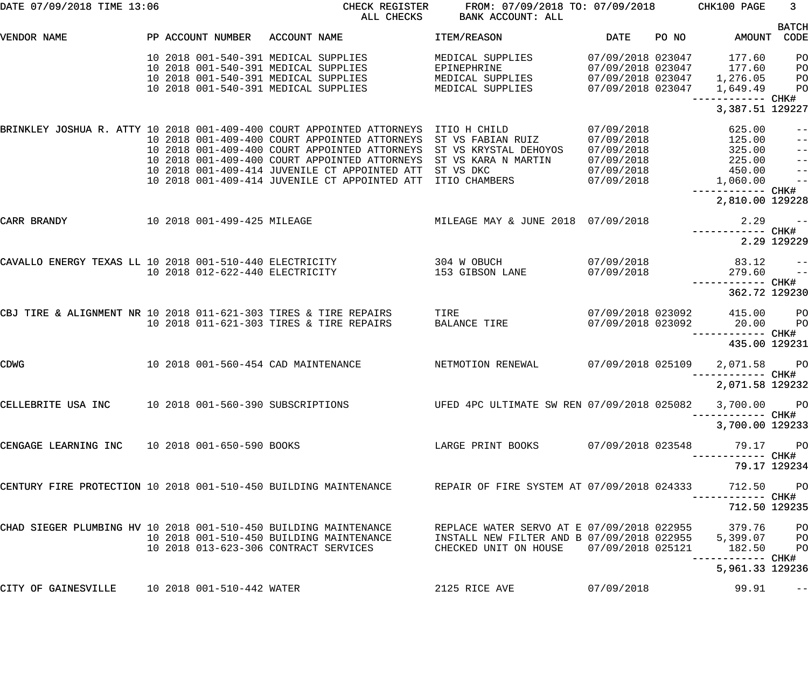| DATE 07/09/2018 TIME 13:06                                       |  |                             | CHECK REGISTER<br>ALL CHECKS                                                                                                                                                                                                                                                                                               | FROM: 07/09/2018 TO: 07/09/2018<br>BANK ACCOUNT: ALL                                                                       |                                                                                  |       | CHK100 PAGE                                                                   | $\mathbf{3}$                                                            |
|------------------------------------------------------------------|--|-----------------------------|----------------------------------------------------------------------------------------------------------------------------------------------------------------------------------------------------------------------------------------------------------------------------------------------------------------------------|----------------------------------------------------------------------------------------------------------------------------|----------------------------------------------------------------------------------|-------|-------------------------------------------------------------------------------|-------------------------------------------------------------------------|
| VENDOR NAME                                                      |  | PP ACCOUNT NUMBER           | ACCOUNT NAME                                                                                                                                                                                                                                                                                                               | <b>ITEM/REASON</b>                                                                                                         | DATE                                                                             | PO NO | AMOUNT                                                                        | <b>BATCH</b><br>CODE                                                    |
|                                                                  |  |                             | 10 2018 001-540-391 MEDICAL SUPPLIES<br>10 2018 001-540-391 MEDICAL SUPPLIES<br>10 2018 001-540-391 MEDICAL SUPPLIES<br>10 2018 001-540-391 MEDICAL SUPPLIES                                                                                                                                                               | MEDICAL SUPPLIES<br>EPINEPHRINE<br>MEDICAL SUPPLIES<br>MEDICAL SUPPLIES                                                    | 07/09/2018 023047<br>07/09/2018 023047<br>07/09/2018 023047<br>07/09/2018 023047 |       | 177.60<br>177.60<br>1,276.05<br>1,649.49                                      | PO<br>PO<br>PO<br>PO                                                    |
|                                                                  |  |                             |                                                                                                                                                                                                                                                                                                                            |                                                                                                                            |                                                                                  |       | --------- CHK#<br>3,387.51 129227                                             |                                                                         |
|                                                                  |  |                             | BRINKLEY JOSHUA R. ATTY 10 2018 001-409-400 COURT APPOINTED ATTORNEYS<br>10 2018 001-409-400 COURT APPOINTED ATTORNEYS<br>10 2018 001-409-400 COURT APPOINTED ATTORNEYS<br>10 2018 001-409-400 COURT APPOINTED ATTORNEYS<br>10 2018 001-409-414 JUVENILE CT APPOINTED ATT<br>10 2018 001-409-414 JUVENILE CT APPOINTED ATT | ITIO H CHILD<br>ST VS FABIAN RUIZ<br>ST VS KRYSTAL DEHOYOS<br>ST VS KARA N MARTIN<br>ST VS DKC<br>ITIO CHAMBERS            | 07/09/2018<br>07/09/2018<br>07/09/2018<br>07/09/2018<br>07/09/2018<br>07/09/2018 |       | 625.00<br>125.00<br>325.00<br>225.00<br>450.00<br>1,060.00<br>—————————— CHK# | $ -$<br>$ -$<br>$\equiv$ $\equiv$<br>$\pm$ $\pm$<br>$\pm$ $\pm$<br>$ -$ |
|                                                                  |  |                             |                                                                                                                                                                                                                                                                                                                            |                                                                                                                            |                                                                                  |       | 2,810.00 129228                                                               |                                                                         |
| CARR BRANDY                                                      |  | 10 2018 001-499-425 MILEAGE |                                                                                                                                                                                                                                                                                                                            | MILEAGE MAY & JUNE 2018 07/09/2018                                                                                         |                                                                                  |       | 2.29                                                                          | $ -$<br>2.29 129229                                                     |
| CAVALLO ENERGY TEXAS LL 10 2018 001-510-440 ELECTRICITY          |  |                             | 10 2018 012-622-440 ELECTRICITY                                                                                                                                                                                                                                                                                            | 304 W OBUCH<br>153 GIBSON LANE                                                                                             | 07/09/2018<br>07/09/2018                                                         |       | 83.12<br>279.60<br>------------ CHK#                                          | $ -$<br>$ -$                                                            |
| CBJ TIRE & ALIGNMENT NR 10 2018 011-621-303 TIRES & TIRE REPAIRS |  |                             | 10 2018 011-621-303 TIRES & TIRE REPAIRS                                                                                                                                                                                                                                                                                   | TIRE<br><b>BALANCE TIRE</b>                                                                                                | 07/09/2018 023092<br>07/09/2018 023092                                           |       | 362.72 129230<br>415.00<br>20.00<br>------ CHK#<br>435.00 129231              | P <sub>O</sub><br>PO                                                    |
| CDWG                                                             |  |                             | 10 2018 001-560-454 CAD MAINTENANCE                                                                                                                                                                                                                                                                                        | NETMOTION RENEWAL                                                                                                          | 07/09/2018 025109                                                                |       | 2,071.58<br>-------- CHK#<br>2,071.58 129232                                  | PO                                                                      |
| CELLEBRITE USA INC 10 2018 001-560-390 SUBSCRIPTIONS             |  |                             |                                                                                                                                                                                                                                                                                                                            | UFED 4PC ULTIMATE SW REN 07/09/2018 025082                                                                                 |                                                                                  |       | 3,700.00 PO                                                                   |                                                                         |
|                                                                  |  |                             |                                                                                                                                                                                                                                                                                                                            |                                                                                                                            |                                                                                  |       | 3,700.00 129233                                                               |                                                                         |
| CENGAGE LEARNING INC 10 2018 001-650-590 BOOKS                   |  |                             |                                                                                                                                                                                                                                                                                                                            | LARGE PRINT BOOKS                                                                                                          | 07/09/2018 023548                                                                |       | 79.17 PO<br>----------- CHK#                                                  |                                                                         |
| CENTURY FIRE PROTECTION 10 2018 001-510-450 BUILDING MAINTENANCE |  |                             |                                                                                                                                                                                                                                                                                                                            | REPAIR OF FIRE SYSTEM AT 07/09/2018 024333                                                                                 |                                                                                  |       | 79.17 129234<br>712.50                                                        | <b>PO</b>                                                               |
| CHAD SIEGER PLUMBING HV 10 2018 001-510-450 BUILDING MAINTENANCE |  |                             | 10 2018 001-510-450 BUILDING MAINTENANCE<br>10 2018 013-623-306 CONTRACT SERVICES                                                                                                                                                                                                                                          | REPLACE WATER SERVO AT E 07/09/2018 022955<br>INSTALL NEW FILTER AND B 07/09/2018 022955 5,399.07<br>CHECKED UNIT ON HOUSE | 07/09/2018 025121                                                                |       | 712.50 129235<br>379.76<br>182.50<br>----------- CHK#                         | PO<br>PO<br>PO                                                          |
|                                                                  |  |                             |                                                                                                                                                                                                                                                                                                                            |                                                                                                                            |                                                                                  |       | 5,961.33 129236                                                               |                                                                         |
| CITY OF GAINESVILLE                                              |  | 10 2018 001-510-442 WATER   |                                                                                                                                                                                                                                                                                                                            | 2125 RICE AVE                                                                                                              | 07/09/2018                                                                       |       | 99.91                                                                         | $\qquad \qquad -$                                                       |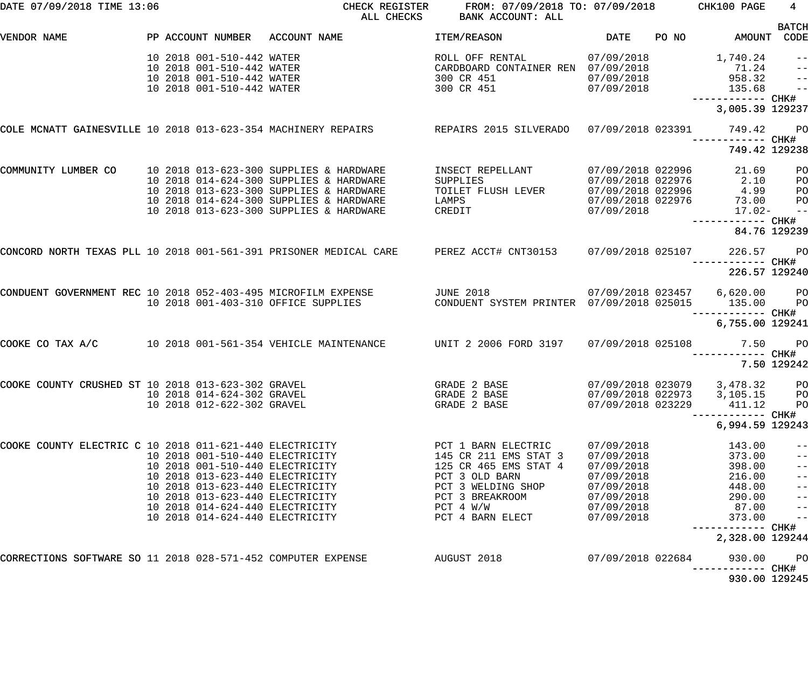| DATE 07/09/2018 TIME 13:06                                   |                                                                                                                                                                                                                                                   | CHECK REGISTER                                                                                                                                                                                             | FROM: 07/09/2018 TO: 07/09/2018 CHK100 PAGE<br>ALL CHECKS BANK ACCOUNT: ALL                                                                                       |                                                                                                              | <b>BATCH</b>                                                                                                           | $4\overline{ }$                                                                      |
|--------------------------------------------------------------|---------------------------------------------------------------------------------------------------------------------------------------------------------------------------------------------------------------------------------------------------|------------------------------------------------------------------------------------------------------------------------------------------------------------------------------------------------------------|-------------------------------------------------------------------------------------------------------------------------------------------------------------------|--------------------------------------------------------------------------------------------------------------|------------------------------------------------------------------------------------------------------------------------|--------------------------------------------------------------------------------------|
| VENDOR NAME                                                  | PP ACCOUNT NUMBER ACCOUNT NAME                                                                                                                                                                                                                    |                                                                                                                                                                                                            | <b>Example 19 Service DATE</b><br>ITEM/REASON                                                                                                                     |                                                                                                              | PO NO AMOUNT CODE                                                                                                      |                                                                                      |
|                                                              | 10 2018 001-510-442 WATER<br>10 2018 001-510-442 WATER<br>10 2018 001-510-442 WATER<br>10 2018 001-510-442 WATER                                                                                                                                  |                                                                                                                                                                                                            | ROLL OFF RENTAL 07/09/2018 1,740.24<br>CARDBOARD CONTAINER REN 07/09/2018 71.24<br>300 CR 451 07/09/2018 958.32<br>300 CR 451 07/09/2018 135.68                   |                                                                                                              | ------------ CHK#                                                                                                      | $\qquad \qquad -$<br>$\overline{\phantom{a}}$<br>$\frac{-}{1}$                       |
|                                                              |                                                                                                                                                                                                                                                   |                                                                                                                                                                                                            |                                                                                                                                                                   |                                                                                                              | 3,005.39 129237                                                                                                        |                                                                                      |
|                                                              |                                                                                                                                                                                                                                                   | COLE MCNATT GAINESVILLE 10 2018 013-623-354 MACHINERY REPAIRS REPAIRS 2015 SILVERADO 07/09/2018 023391 749.42                                                                                              |                                                                                                                                                                   |                                                                                                              |                                                                                                                        | $P$ O                                                                                |
|                                                              |                                                                                                                                                                                                                                                   |                                                                                                                                                                                                            |                                                                                                                                                                   |                                                                                                              | 749.42 129238                                                                                                          |                                                                                      |
| COMMUNITY LUMBER CO                                          | 10 2018 013-623-300 SUPPLIES & HARDWARE<br>10 2018 014-624-300 SUPPLIES & HARDWARE<br>10 2018 013-623-300 SUPPLIES & HARDWARE<br>10 2018 013-623-300 SUPPLIES & HARDWARE                                                                          | 10 2018 014-624-300 SUPPLIES & HARDWARE                                                                                                                                                                    | INSECT REPELLANT 07/09/2018 022996 21.69<br>SUPPLIES<br>TOILET FLUSH LEVER<br>LAMPS<br>CREDIT 07/09/2018                                                          | 07/09/2018 022976                                                                                            | 07/09/2018 022976 2.10<br>07/09/2018 022996 4.99<br>73.00<br>17.02-                                                    | P <sub>O</sub><br>P <sub>O</sub><br>PO<br>P <sub>O</sub><br>$-$                      |
|                                                              |                                                                                                                                                                                                                                                   |                                                                                                                                                                                                            |                                                                                                                                                                   |                                                                                                              | 84.76 129239                                                                                                           |                                                                                      |
|                                                              |                                                                                                                                                                                                                                                   | CONCORD NORTH TEXAS PLL 10 2018 001-561-391 PRISONER MEDICAL CARE PEREZ ACCT# CNT30153 07/09/2018 025107 226.57                                                                                            |                                                                                                                                                                   |                                                                                                              | <b>PO</b>                                                                                                              |                                                                                      |
|                                                              |                                                                                                                                                                                                                                                   |                                                                                                                                                                                                            |                                                                                                                                                                   |                                                                                                              | 226.57 129240                                                                                                          |                                                                                      |
|                                                              |                                                                                                                                                                                                                                                   | CONDUENT GOVERNMENT REC 10 2018 052-403-495 MICROFILM EXPENSE TO JUNE 2018 (2018) 07/09/2018 023457 6,620.00 PO<br>10 2018 001-403-310 OFFICE SUPPLIES CONDUENT SYSTEM PRINTER 07/09/2018 025015 135.00 PO |                                                                                                                                                                   |                                                                                                              | ------------ CHK#                                                                                                      |                                                                                      |
|                                                              |                                                                                                                                                                                                                                                   |                                                                                                                                                                                                            |                                                                                                                                                                   |                                                                                                              | 6,755.00 129241                                                                                                        |                                                                                      |
| COOKE CO TAX A/C                                             |                                                                                                                                                                                                                                                   | 10 2018 001-561-354 VEHICLE MAINTENANCE  UNIT 2 2006 FORD 3197                                                                                                                                             |                                                                                                                                                                   |                                                                                                              | 07/09/2018  025108   7.50   PO<br>------------ CHK#                                                                    |                                                                                      |
|                                                              |                                                                                                                                                                                                                                                   |                                                                                                                                                                                                            |                                                                                                                                                                   |                                                                                                              | 7.50 129242                                                                                                            |                                                                                      |
| COOKE COUNTY CRUSHED ST 10 2018 013-623-302 GRAVEL           | 10 2018 014-624-302 GRAVEL<br>10 2018 012-622-302 GRAVEL                                                                                                                                                                                          |                                                                                                                                                                                                            | GRADE 2 BASE 07/09/2018 023079 3,478.32<br>GRADE 2 BASE<br>GRADE 2 BASE                                                                                           | 07/09/2018 022973<br>07/09/2018 023229                                                                       | 3,105.15<br>411.12<br>CHK#<br>-----------                                                                              | $P$ O<br>PO<br>PO                                                                    |
|                                                              |                                                                                                                                                                                                                                                   |                                                                                                                                                                                                            |                                                                                                                                                                   |                                                                                                              | 6,994.59 129243                                                                                                        |                                                                                      |
| COOKE COUNTY ELECTRIC C 10 2018 011-621-440 ELECTRICITY      | 10 2018 001-510-440 ELECTRICITY<br>10 2018 001-510-440 ELECTRICITY<br>10 2018 013-623-440 ELECTRICITY<br>10 2018 013-623-440 ELECTRICITY<br>10 2018 013-623-440 ELECTRICITY<br>10 2018 014-624-440 ELECTRICITY<br>10 2018 014-624-440 ELECTRICITY |                                                                                                                                                                                                            | PCT 1 BARN ELECTRIC<br>145 CR 211 EMS STAT 3<br>125 CR 465 EMS STAT 4<br>PCT 3 OLD BARN<br>PCT 3 WELDING SHOP<br>PCT 3 BREAKROOM<br>PCT 4 W/W<br>PCT 4 BARN ELECT | 07/09/2018<br>07/09/2018<br>07/09/2018<br>07/09/2018<br>07/09/2018<br>07/09/2018<br>07/09/2018<br>07/09/2018 | 143.00<br>373.00<br>398.00<br>216.00<br>448.00<br>290.00<br>87.00<br>373.00<br>CHK#<br>------------<br>2,328.00 129244 | --<br>$ -$<br>$ -$<br>$ -$<br>$ -$<br>$ -$<br>$\qquad \qquad -$<br>$\qquad \qquad -$ |
| CORRECTIONS SOFTWARE SO 11 2018 028-571-452 COMPUTER EXPENSE |                                                                                                                                                                                                                                                   |                                                                                                                                                                                                            | AUGUST 2018                                                                                                                                                       | 07/09/2018 022684                                                                                            | 930.00<br>CHK#<br>------------                                                                                         | PO                                                                                   |
|                                                              |                                                                                                                                                                                                                                                   |                                                                                                                                                                                                            |                                                                                                                                                                   |                                                                                                              | 930.00 129245                                                                                                          |                                                                                      |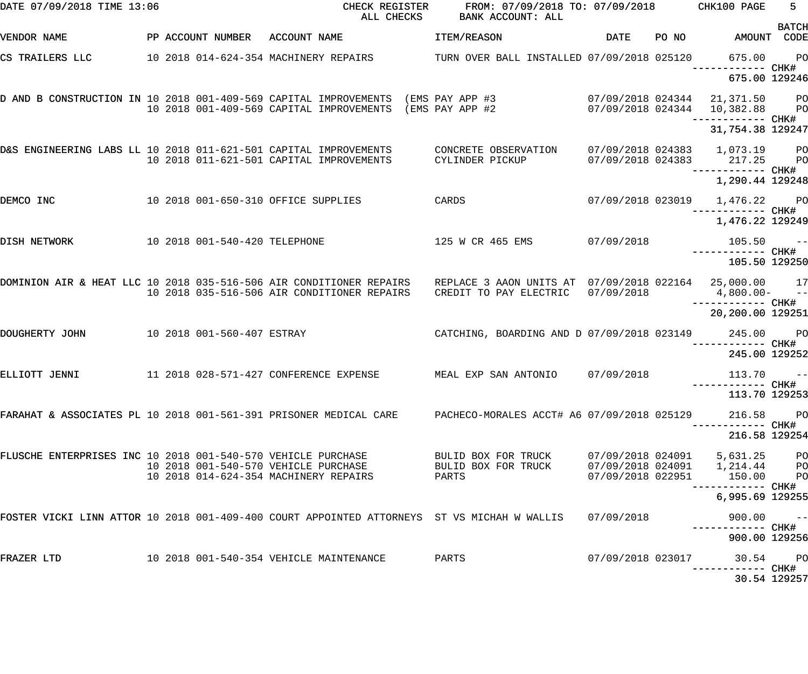| DATE 07/09/2018 TIME 13:06                                       |                               | CHECK REGISTER<br>ALL CHECKS                                                                                                                 | FROM: 07/09/2018 TO: 07/09/2018<br>BANK ACCOUNT: ALL |                   |       | CHK100 PAGE                                        | $5 -$          |
|------------------------------------------------------------------|-------------------------------|----------------------------------------------------------------------------------------------------------------------------------------------|------------------------------------------------------|-------------------|-------|----------------------------------------------------|----------------|
| VENDOR NAME                                                      | PP ACCOUNT NUMBER             | ACCOUNT NAME                                                                                                                                 | ITEM/REASON                                          | DATE              | PO NO | AMOUNT CODE                                        | <b>BATCH</b>   |
| CS TRAILERS LLC                                                  |                               | 10 2018 014-624-354 MACHINERY REPAIRS TURN OVER BALL INSTALLED 07/09/2018 025120                                                             |                                                      |                   |       | 675.00                                             | <b>PO</b>      |
|                                                                  |                               |                                                                                                                                              |                                                      |                   |       | 675.00 129246                                      |                |
|                                                                  |                               | D AND B CONSTRUCTION IN 10 2018 001-409-569 CAPITAL IMPROVEMENTS (EMS PAY APP #3<br>10 2018 001-409-569 CAPITAL IMPROVEMENTS (EMS PAY APP #2 |                                                      |                   |       | 07/09/2018 024344 21,371.50                        | <b>PO</b>      |
|                                                                  |                               |                                                                                                                                              |                                                      |                   |       | 07/09/2018 024344 10,382.88<br>—————————— CHK#     | <b>PO</b>      |
|                                                                  |                               |                                                                                                                                              |                                                      |                   |       | 31,754.38 129247                                   |                |
| D&S ENGINEERING LABS LL 10 2018 011-621-501 CAPITAL IMPROVEMENTS |                               | 10 2018 011-621-501 CAPITAL IMPROVEMENTS                                                                                                     | CONCRETE OBSERVATION<br>CYLINDER PICKUP              |                   |       | 07/09/2018 024383 1,073.19 PO                      |                |
|                                                                  |                               |                                                                                                                                              |                                                      |                   |       | 07/09/2018 024383 217.25                           | <b>PO</b>      |
|                                                                  |                               |                                                                                                                                              |                                                      |                   |       | 1,290.44 129248                                    |                |
| DEMCO INC                                                        |                               | 10 2018 001-650-310 OFFICE SUPPLIES                                                                                                          | CARDS                                                |                   |       | 07/09/2018 023019 1,476.22 PO<br>------------ CHK# |                |
|                                                                  |                               |                                                                                                                                              |                                                      |                   |       | 1,476.22 129249                                    |                |
| DISH NETWORK                                                     | 10 2018 001-540-420 TELEPHONE |                                                                                                                                              | 125 W CR 465 EMS                                     | 07/09/2018        |       | $105.50 - -$                                       |                |
|                                                                  |                               |                                                                                                                                              |                                                      |                   |       | 105.50 129250                                      |                |
|                                                                  |                               | DOMINION AIR & HEAT LLC 10 2018 035-516-506 AIR CONDITIONER REPAIRS                                                                          | REPLACE 3 AAON UNITS AT 07/09/2018 022164            |                   |       | 25,000.00 17                                       |                |
|                                                                  |                               | 10 2018 035-516-506 AIR CONDITIONER REPAIRS                                                                                                  | CREDIT TO PAY ELECTRIC                               | 07/09/2018        |       | $4,800.00 - -$                                     |                |
|                                                                  |                               |                                                                                                                                              |                                                      |                   |       | 20,200.00 129251                                   |                |
| DOUGHERTY JOHN                                                   | 10 2018 001-560-407 ESTRAY    |                                                                                                                                              | CATCHING, BOARDING AND D 07/09/2018 023149           |                   |       | 245.00                                             | <b>PO</b>      |
|                                                                  |                               |                                                                                                                                              |                                                      |                   |       | ------------ CHK#<br>245.00 129252                 |                |
| ELLIOTT JENNI                                                    |                               | 11  2018  028-571-427  CONFERENCE EXPENSE                                                                                                    | MEAL EXP SAN ANTONIO                                 | 07/09/2018        |       | $113.70 - -$                                       |                |
|                                                                  |                               |                                                                                                                                              |                                                      |                   |       | 113.70 129253                                      |                |
|                                                                  |                               | FARAHAT & ASSOCIATES PL 10 2018 001-561-391 PRISONER MEDICAL CARE     PACHECO-MORALES ACCT# A6 07/09/2018 025129                             |                                                      |                   |       | 216.58                                             | <b>PO</b>      |
|                                                                  |                               |                                                                                                                                              |                                                      |                   |       | 216.58 129254                                      |                |
| FLUSCHE ENTERPRISES INC 10 2018 001-540-570 VEHICLE PURCHASE     |                               |                                                                                                                                              | BULID BOX FOR TRUCK                                  | 07/09/2018 024091 |       | 5,631.25                                           | P <sub>O</sub> |
|                                                                  |                               | 10 2018 001-540-570 VEHICLE PURCHASE<br>10 2018 014-624-354 MACHINERY REPAIRS                                                                | BULID BOX FOR TRUCK<br>PARTS                         | 07/09/2018 022951 |       | 150.00                                             | P <sub>O</sub> |
|                                                                  |                               |                                                                                                                                              |                                                      |                   |       | -------- CHK#<br>6,995.69 129255                   |                |
|                                                                  |                               | FOSTER VICKI LINN ATTOR 10 2018 001-409-400 COURT APPOINTED ATTORNEYS ST VS MICHAH W WALLIS                                                  |                                                      | 07/09/2018        |       | 900.00                                             |                |
|                                                                  |                               |                                                                                                                                              |                                                      |                   |       |                                                    | $- -$          |
|                                                                  |                               |                                                                                                                                              |                                                      |                   |       | 900.00 129256                                      |                |
| FRAZER LTD                                                       |                               | 10 2018 001-540-354 VEHICLE MAINTENANCE                                                                                                      | PARTS                                                | 07/09/2018 023017 |       | ------ CHK#                                        | 30.54 PO       |
|                                                                  |                               |                                                                                                                                              |                                                      |                   |       |                                                    | 30.54 129257   |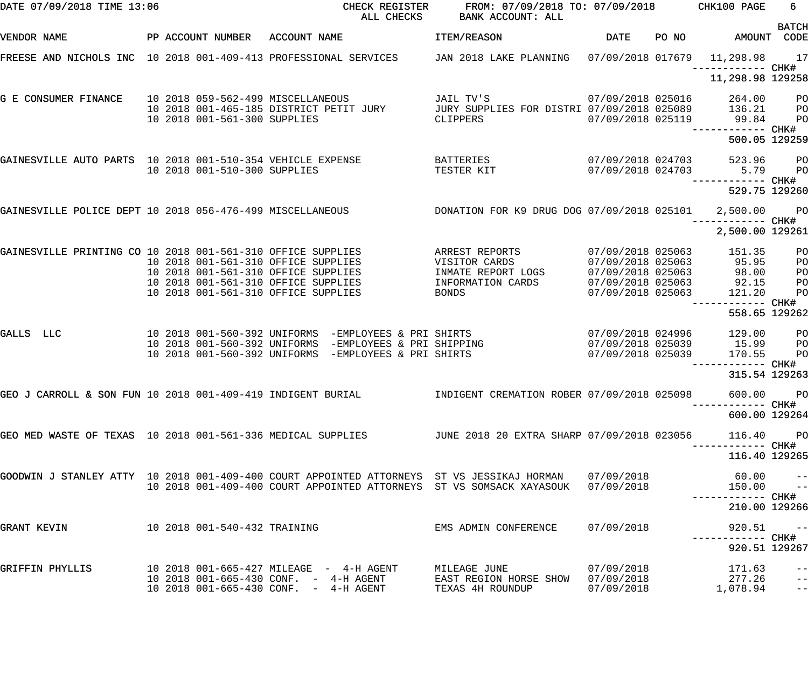| DATE 07/09/2018 TIME 13:06                                  |  |                                                                                                                   | CHECK REGISTER<br>ALL CHECKS                                                   | FROM: 07/09/2018 TO: 07/09/2018 CHK100 PAGE<br><b>BANK ACCOUNT: ALL</b>                                                                                                                     |                                                                                  |       |                                              | 6                                                  |
|-------------------------------------------------------------|--|-------------------------------------------------------------------------------------------------------------------|--------------------------------------------------------------------------------|---------------------------------------------------------------------------------------------------------------------------------------------------------------------------------------------|----------------------------------------------------------------------------------|-------|----------------------------------------------|----------------------------------------------------|
| VENDOR NAME                                                 |  | PP ACCOUNT NUMBER ACCOUNT NAME                                                                                    |                                                                                | ITEM/REASON                                                                                                                                                                                 | DATE                                                                             | PO NO |                                              | <b>BATCH</b><br>AMOUNT CODE                        |
|                                                             |  |                                                                                                                   |                                                                                | FREESE AND NICHOLS INC 10 2018 001-409-413 PROFESSIONAL SERVICES TAN 2018 LAKE PLANNING 07/09/2018 017679 11,298.98 17                                                                      |                                                                                  |       |                                              |                                                    |
|                                                             |  |                                                                                                                   |                                                                                |                                                                                                                                                                                             |                                                                                  |       | 11,298.98 129258                             |                                                    |
| G E CONSUMER FINANCE                                        |  | 10 2018 059-562-499 MISCELLANEOUS<br>10 2018 001-561-300 SUPPLIES                                                 | 10 2018 001-465-185 DISTRICT PETIT JURY                                        | JAIL TV'S<br>JURY SUPPLIES FOR DISTRI 07/09/2018 025089<br>CLIPPERS                                                                                                                         | 07/09/2018 025016<br>07/09/2018 025119                                           |       | 264.00<br>136.21<br>99.84                    | $P$ O<br>$P$ O                                     |
|                                                             |  |                                                                                                                   |                                                                                |                                                                                                                                                                                             |                                                                                  |       | ------------ CHK#<br>500.05 129259           | P <sub>O</sub>                                     |
| GAINESVILLE AUTO PARTS 10 2018 001-510-354 VEHICLE EXPENSE  |  | 10 2018 001-510-300 SUPPLIES                                                                                      |                                                                                | BATTERIES<br>TESTER KIT                                                                                                                                                                     | 07/09/2018 024703<br>07/09/2018 024703                                           |       | 523.96<br>5.79<br>—————————— CHK#            | <b>PO</b><br><b>PO</b>                             |
|                                                             |  |                                                                                                                   |                                                                                |                                                                                                                                                                                             |                                                                                  |       | 529.75 129260                                |                                                    |
|                                                             |  |                                                                                                                   |                                                                                | GAINESVILLE POLICE DEPT 10 2018 056-476-499 MISCELLANEOUS <b>BEEN DESCALDED DES SERVES DE</b> UG DOG 07/09/2018 025101 2,500.00 PO                                                          |                                                                                  |       | ------------ CHK#                            |                                                    |
|                                                             |  |                                                                                                                   |                                                                                |                                                                                                                                                                                             |                                                                                  |       | 2,500.00 129261                              |                                                    |
| GAINESVILLE PRINTING CO 10 2018 001-561-310 OFFICE SUPPLIES |  | 10 2018 001-561-310 OFFICE SUPPLIES<br>10 2018 001-561-310 OFFICE SUPPLIES<br>10 2018 001-561-310 OFFICE SUPPLIES |                                                                                | ARREST REPORTS<br>VISITOR CARDS<br>INMATE REPORT LOGS<br>INFORMATION CARDS                                                                                                                  | 07/09/2018 025063<br>07/09/2018 025063<br>07/09/2018 025063<br>07/09/2018 025063 |       | 151.35<br>95.95<br>98.00<br>92.15            | PO<br>P <sub>O</sub><br>PO<br>PO                   |
|                                                             |  | 10 2018 001-561-310 OFFICE SUPPLIES                                                                               |                                                                                | BONDS                                                                                                                                                                                       | 07/09/2018 025063                                                                |       | 121.20<br>------------ CHK#<br>558.65 129262 | PO                                                 |
| GALLS LLC                                                   |  |                                                                                                                   | 10 2018 001-560-392 UNIFORMS -EMPLOYEES & PRI SHIRTS                           | 10 2018 001-560-392 UNIFORMS -EMPLOYEES & PRI SHIRTS<br>10 2018 001-560-392 UNIFORMS -EMPLOYEES & PRI SHIPPING                                                                              | 07/09/2018 024996<br>07/09/2018 025039<br>07/09/2018 025039                      |       | 129.00<br>15.99<br>170.55                    | P <sub>O</sub><br>P <sub>O</sub><br>P <sub>O</sub> |
|                                                             |  |                                                                                                                   |                                                                                |                                                                                                                                                                                             |                                                                                  |       | ------------ CHK#<br>315.54 129263           |                                                    |
|                                                             |  |                                                                                                                   |                                                                                | GEO J CARROLL & SON FUN 10 2018 001-409-419 INDIGENT BURIAL             INDIGENT CREMATION ROBER 07/09/2018 025098                                                                          |                                                                                  |       | 600.00 PO                                    |                                                    |
|                                                             |  |                                                                                                                   |                                                                                |                                                                                                                                                                                             |                                                                                  |       | 600.00 129264                                |                                                    |
|                                                             |  |                                                                                                                   |                                                                                | GEO MED WASTE OF TEXAS 10 2018 001-561-336 MEDICAL SUPPLIES TUNE 2018 20 EXTRA SHARP 07/09/2018 023056                                                                                      |                                                                                  |       | 116.40 PO                                    |                                                    |
|                                                             |  |                                                                                                                   |                                                                                |                                                                                                                                                                                             |                                                                                  |       | 116.40 129265                                |                                                    |
|                                                             |  |                                                                                                                   |                                                                                | GOODWIN J STANLEY ATTY 10 2018 001-409-400 COURT APPOINTED ATTORNEYS  ST VS JESSIKAJ HORMAN   07/09/2018<br>10 2018 001-409-400 COURT APPOINTED ATTORNEYS ST VS SOMSACK XAYASOUK 07/09/2018 |                                                                                  |       | –– 60.00 –<br>150.00 ––                      |                                                    |
|                                                             |  |                                                                                                                   |                                                                                |                                                                                                                                                                                             |                                                                                  |       | 210.00 129266                                |                                                    |
| GRANT KEVIN 10 2018 001-540-432 TRAINING                    |  |                                                                                                                   |                                                                                | EMS ADMIN CONFERENCE 07/09/2018                                                                                                                                                             |                                                                                  |       | 920.51                                       | $\sim$ $ -$                                        |
|                                                             |  |                                                                                                                   |                                                                                |                                                                                                                                                                                             |                                                                                  |       | 920.51 129267                                |                                                    |
| GRIFFIN PHYLLIS                                             |  |                                                                                                                   | 10 2018 001-665-430 CONF. - 4-H AGENT<br>10 2018 001-665-430 CONF. - 4-H AGENT | MILEAGE JUNE<br>EAST REGION HORSE SHOW 07/09/2018<br>TEXAS 4H ROUNDUP                                                                                                                       | 07/09/2018<br>07/09/2018                                                         |       | 171.63<br>277.26<br>1,078.94                 | $\qquad \qquad -$                                  |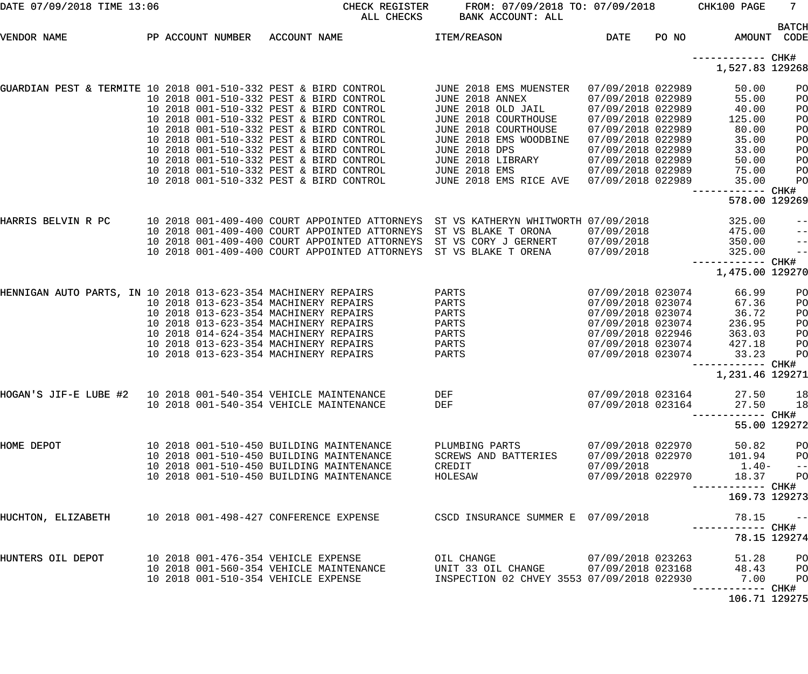| DATE 07/09/2018 TIME 13:06                                                                 |  |                                                                                                                                                                                                                                                                                                                                                                                                 | CHECK REGISTER<br>ALL CHECKS                                                                                                                    | FROM: 07/09/2018 TO: 07/09/2018<br>BANK ACCOUNT: ALL                                                                                                                                                                              |                                                                                                                                                                                                                |       | CHK100 PAGE                                                                                             | 7 <sup>7</sup>                                                   |
|--------------------------------------------------------------------------------------------|--|-------------------------------------------------------------------------------------------------------------------------------------------------------------------------------------------------------------------------------------------------------------------------------------------------------------------------------------------------------------------------------------------------|-------------------------------------------------------------------------------------------------------------------------------------------------|-----------------------------------------------------------------------------------------------------------------------------------------------------------------------------------------------------------------------------------|----------------------------------------------------------------------------------------------------------------------------------------------------------------------------------------------------------------|-------|---------------------------------------------------------------------------------------------------------|------------------------------------------------------------------|
| VENDOR NAME                                                                                |  |                                                                                                                                                                                                                                                                                                                                                                                                 | PP ACCOUNT NUMBER ACCOUNT NAME                                                                                                                  | <b>ITEM/REASON</b>                                                                                                                                                                                                                | <b>DATE</b>                                                                                                                                                                                                    | PO NO |                                                                                                         | <b>BATCH</b><br>AMOUNT CODE                                      |
|                                                                                            |  |                                                                                                                                                                                                                                                                                                                                                                                                 |                                                                                                                                                 |                                                                                                                                                                                                                                   |                                                                                                                                                                                                                |       | ------------ CHK#<br>1,527.83 129268                                                                    |                                                                  |
| GUARDIAN PEST & TERMITE 10 2018 001-510-332 PEST & BIRD CONTROL                            |  | 10 2018 001-510-332 PEST & BIRD CONTROL<br>10 2018 001-510-332 PEST & BIRD CONTROL<br>10 2018 001-510-332 PEST & BIRD CONTROL<br>10 2018 001-510-332 PEST & BIRD CONTROL<br>10 2018 001-510-332 PEST & BIRD CONTROL<br>10 2018 001-510-332 PEST & BIRD CONTROL<br>10 2018 001-510-332 PEST & BIRD CONTROL<br>10 2018 001-510-332 PEST & BIRD CONTROL<br>10 2018 001-510-332 PEST & BIRD CONTROL |                                                                                                                                                 | JUNE 2018 EMS MUENSTER<br>JUNE 2018 ANNEX<br>JUNE 2018 OLD JAIL<br>JUNE 2018 COURTHOUSE<br>JUNE 2018 COURTHOUSE<br>JUNE 2018 EMS WOODBINE<br><b>JUNE 2018 DPS</b><br>JUNE 2018 LIBRARY<br>JUNE 2018 EMS<br>JUNE 2018 EMS RICE AVE | 07/09/2018 022989<br>07/09/2018 022989<br>07/09/2018 022989<br>07/09/2018 022989<br>07/09/2018 022989<br>07/09/2018 022989<br>07/09/2018 022989<br>07/09/2018 022989<br>07/09/2018 022989<br>07/09/2018 022989 |       | 50.00<br>55.00<br>40.00<br>125.00<br>80.00<br>35.00<br>33.00<br>50.00<br>75.00<br>35.00<br>------------ | PO<br>PO<br>PO<br>PO<br>PO<br>PO<br>PO<br>PO<br>PO<br>PO<br>CHK# |
| HARRIS BELVIN R PC                                                                         |  |                                                                                                                                                                                                                                                                                                                                                                                                 |                                                                                                                                                 | 10 2018 001-409-400 COURT APPOINTED ATTORNEYS ST VS KATHERYN WHITWORTH 07/09/2018                                                                                                                                                 |                                                                                                                                                                                                                |       | 578.00 129269<br>325.00                                                                                 | $-\:\:-$                                                         |
|                                                                                            |  |                                                                                                                                                                                                                                                                                                                                                                                                 | 10 2018 001-409-400 COURT APPOINTED ATTORNEYS<br>10 2018 001-409-400 COURT APPOINTED ATTORNEYS<br>10 2018 001-409-400 COURT APPOINTED ATTORNEYS | ST VS BLAKE T ORONA<br>ST VS CORY J GERNERT<br>ST VS BLAKE T ORENA                                                                                                                                                                | 07/09/2018<br>07/09/2018<br>07/09/2018                                                                                                                                                                         |       | 475.00<br>350.00<br>325.00<br>-------------                                                             | $-$ -l<br>$-$ -<br>$-$<br>CHK#                                   |
|                                                                                            |  |                                                                                                                                                                                                                                                                                                                                                                                                 |                                                                                                                                                 |                                                                                                                                                                                                                                   |                                                                                                                                                                                                                |       | 1,475.00 129270                                                                                         |                                                                  |
| HENNIGAN AUTO PARTS, IN 10 2018 013-623-354 MACHINERY REPAIRS                              |  | 10 2018 013-623-354 MACHINERY REPAIRS<br>10 2018 013-623-354 MACHINERY REPAIRS<br>10 2018 013-623-354 MACHINERY REPAIRS<br>10 2018 014-624-354 MACHINERY REPAIRS<br>10 2018 013-623-354 MACHINERY REPAIRS<br>10 2018 013-623-354 MACHINERY REPAIRS                                                                                                                                              |                                                                                                                                                 | PARTS<br>PARTS<br>PARTS<br>PARTS<br>PARTS<br>PARTS<br>PARTS                                                                                                                                                                       | 07/09/2018 023074<br>07/09/2018 023074<br>07/09/2018 023074<br>07/09/2018 023074<br>07/09/2018 022946<br>07/09/2018 023074<br>07/09/2018 023074                                                                |       | 66.99<br>67.36<br>36.72<br>236.95<br>363.03<br>427.18<br>33.23<br>1,231.46 129271                       | PO<br>PO<br>PO<br>PO<br>PO<br>PO<br>PO<br>CHK#                   |
| HOGAN'S JIF-E LUBE #2                        10    2018    001-540-354 VEHICLE MAINTENANCE |  | 10 2018 001-540-354 VEHICLE MAINTENANCE                                                                                                                                                                                                                                                                                                                                                         |                                                                                                                                                 | DEF<br>DEF                                                                                                                                                                                                                        | 07/09/2018 023164<br>07/09/2018 023164                                                                                                                                                                         |       | 27.50<br>27.50<br>------ CHK#                                                                           | 18<br>18<br>55.00 129272                                         |
| HOME DEPOT                                                                                 |  | 10 2018 001-510-450 BUILDING MAINTENANCE<br>10 2018 001-510-450 BUILDING MAINTENANCE<br>10 2018 001-510-450 BUILDING MAINTENANCE<br>10 2018 001-510-450 BUILDING MAINTENANCE                                                                                                                                                                                                                    |                                                                                                                                                 | PLUMBING PARTS<br>SCREWS AND BATTERIES<br>CREDIT<br>HOLESAW                                                                                                                                                                       | 07/09/2018 022970<br>07/09/2018 022970<br>07/09/2018<br>07/09/2018 022970                                                                                                                                      |       | 50.82<br>101.94<br>$1.40-$<br>18.37<br>--------- CHK#<br>169.73 129273                                  | PO<br>PO<br>$ -$<br>PO                                           |
| HUCHTON, ELIZABETH                                                                         |  | 10 2018 001-498-427 CONFERENCE EXPENSE                                                                                                                                                                                                                                                                                                                                                          |                                                                                                                                                 | CSCD INSURANCE SUMMER E 07/09/2018                                                                                                                                                                                                |                                                                                                                                                                                                                |       | 78.15                                                                                                   | $\sim$ $ -$                                                      |
|                                                                                            |  |                                                                                                                                                                                                                                                                                                                                                                                                 |                                                                                                                                                 |                                                                                                                                                                                                                                   |                                                                                                                                                                                                                |       |                                                                                                         | 78.15 129274                                                     |
| HUNTERS OIL DEPOT                                                                          |  | 10 2018 001-476-354 VEHICLE EXPENSE<br>10 2018 001-560-354 VEHICLE MAINTENANCE<br>10 2018 001-510-354 VEHICLE EXPENSE                                                                                                                                                                                                                                                                           |                                                                                                                                                 | OIL CHANGE<br>UNIT 33 OIL CHANGE<br>INSPECTION 02 CHVEY 3553 07/09/2018 022930                                                                                                                                                    | 07/09/2018 023263<br>07/09/2018 023168                                                                                                                                                                         |       | 51.28<br>48.43<br>7.00<br>------- CHK#                                                                  | PO<br>PO<br>PO                                                   |
|                                                                                            |  |                                                                                                                                                                                                                                                                                                                                                                                                 |                                                                                                                                                 |                                                                                                                                                                                                                                   |                                                                                                                                                                                                                |       | 106.71 129275                                                                                           |                                                                  |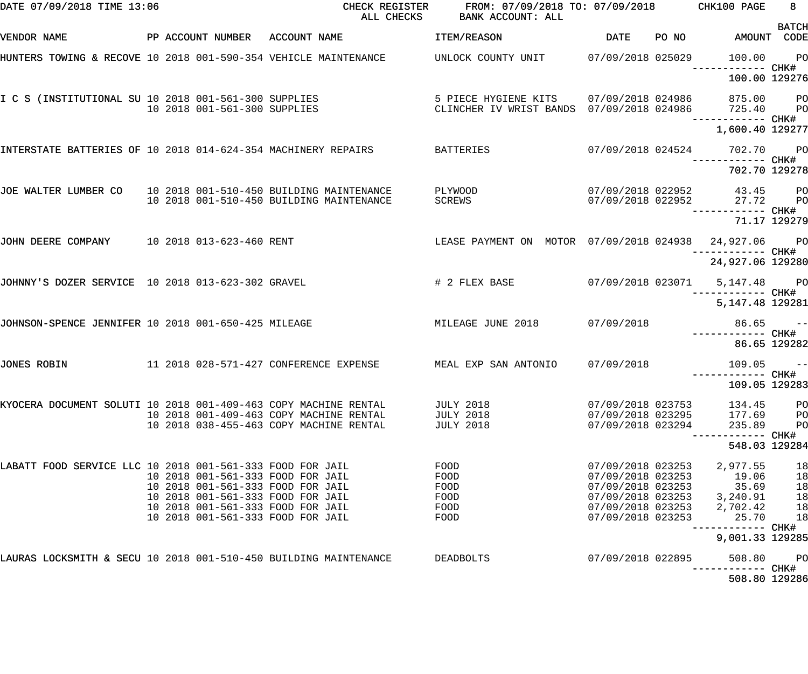| DATE 07/09/2018 TIME 13:06                                       |  |  |                              | CHECK REGISTER<br>ALL CHECKS                                                                                       | FROM: 07/09/2018 TO: 07/09/2018 CHK100 PAGE<br>BANK ACCOUNT: ALL                           |                                        |                                     | 8 <sup>1</sup><br><b>BATCH</b> |
|------------------------------------------------------------------|--|--|------------------------------|--------------------------------------------------------------------------------------------------------------------|--------------------------------------------------------------------------------------------|----------------------------------------|-------------------------------------|--------------------------------|
| VENDOR NAME                                                      |  |  |                              | PP ACCOUNT NUMBER ACCOUNT NAME                                                                                     | ITEM/REASON                                                                                | DATE                                   | PO NO AMOUNT CODE                   |                                |
|                                                                  |  |  |                              | HUNTERS TOWING & RECOVE 10 2018 001-590-354 VEHICLE MAINTENANCE         UNLOCK COUNTY UNIT       07/09/2018 025029 |                                                                                            |                                        | 100.00                              | PO                             |
|                                                                  |  |  |                              |                                                                                                                    |                                                                                            |                                        | 100.00 129276                       |                                |
|                                                                  |  |  | 10 2018 001-561-300 SUPPLIES | I C S (INSTITUTIONAL SU 10 2018 001-561-300 SUPPLIES                                                               | 5 PIECE HYGIENE KITS 07/09/2018 024986<br>CLINCHER IV WRIST BANDS 07/09/2018 024986 725.40 |                                        | 875.00 PO<br>------------ CHK#      | <b>PO</b>                      |
|                                                                  |  |  |                              |                                                                                                                    |                                                                                            |                                        | 1,600.40 129277                     |                                |
| INTERSTATE BATTERIES OF 10 2018 014-624-354 MACHINERY REPAIRS    |  |  |                              |                                                                                                                    | <b>BATTERIES</b>                                                                           |                                        | 07/09/2018 024524 702.70 PO         |                                |
|                                                                  |  |  |                              |                                                                                                                    |                                                                                            |                                        | 702.70 129278                       |                                |
| JOE WALTER LUMBER CO 10 2018 001-510-450 BUILDING MAINTENANCE    |  |  |                              | 10 2018 001-510-450 BUILDING MAINTENANCE                                                                           | PLYWOOD<br>SCREWS                                                                          | 07/09/2018 022952                      | 07/09/2018 022952 43.45 PO<br>27.72 | <b>PO</b>                      |
|                                                                  |  |  |                              |                                                                                                                    |                                                                                            |                                        | ------------ CHK#                   | 71.17 129279                   |
| JOHN DEERE COMPANY 10 2018 013-623-460 RENT                      |  |  |                              |                                                                                                                    | LEASE PAYMENT ON MOTOR 07/09/2018 024938                                                   |                                        | 24,927.06 PO                        |                                |
|                                                                  |  |  |                              |                                                                                                                    |                                                                                            |                                        | 24,927.06 129280                    |                                |
| JOHNNY'S DOZER SERVICE 10 2018 013-623-302 GRAVEL                |  |  |                              |                                                                                                                    | # 2 FLEX BASE                                                                              |                                        |                                     |                                |
|                                                                  |  |  |                              |                                                                                                                    |                                                                                            |                                        | 5, 147. 48 129281                   |                                |
| JOHNSON-SPENCE JENNIFER 10 2018 001-650-425 MILEAGE              |  |  |                              |                                                                                                                    | MILEAGE JUNE 2018                                                                          | 07/09/2018                             | $86.65 - -$                         |                                |
|                                                                  |  |  |                              |                                                                                                                    |                                                                                            |                                        | 86.65 129282                        |                                |
| JONES ROBIN                                                      |  |  |                              | 11  2018  028-571-427  CONFERENCE EXPENSE                                                                          | MEAL EXP SAN ANTONIO                                                                       | 07/09/2018                             | $109.05 -$                          |                                |
|                                                                  |  |  |                              |                                                                                                                    |                                                                                            |                                        | 109.05 129283                       |                                |
| KYOCERA DOCUMENT SOLUTI 10 2018 001-409-463 COPY MACHINE RENTAL  |  |  |                              | 10 2018 001-409-463 COPY MACHINE RENTAL                                                                            | <b>JULY 2018</b><br><b>JULY 2018</b>                                                       | 07/09/2018 023753<br>07/09/2018 023295 | 134.45<br>177.69                    | PO<br>PO                       |
|                                                                  |  |  |                              | 10 2018 038-455-463 COPY MACHINE RENTAL                                                                            | <b>JULY 2018</b>                                                                           | 07/09/2018 023294                      | 235.89                              | PO                             |
|                                                                  |  |  |                              |                                                                                                                    |                                                                                            |                                        | 548.03 129284                       |                                |
| LABATT FOOD SERVICE LLC 10 2018 001-561-333 FOOD FOR JAIL        |  |  |                              | 10 2018 001-561-333 FOOD FOR JAIL                                                                                  | FOOD<br>FOOD                                                                               | 07/09/2018 023253<br>07/09/2018 023253 | 2,977.55<br>19.06                   | 18<br>18                       |
|                                                                  |  |  |                              | 10 2018 001-561-333 FOOD FOR JAIL                                                                                  | FOOD                                                                                       | 07/09/2018 023253                      | 35.69                               | 18                             |
|                                                                  |  |  |                              | 10 2018 001-561-333 FOOD FOR JAIL                                                                                  | FOOD                                                                                       | 07/09/2018 023253                      | 3,240.91                            | 18                             |
|                                                                  |  |  |                              | 10 2018 001-561-333 FOOD FOR JAIL                                                                                  | FOOD                                                                                       | 07/09/2018 023253                      | 2,702.42                            | 18                             |
|                                                                  |  |  |                              | 10 2018 001-561-333 FOOD FOR JAIL                                                                                  | FOOD                                                                                       | 07/09/2018 023253                      | 25.70<br>------------ CHK#          | 18                             |
|                                                                  |  |  |                              |                                                                                                                    |                                                                                            |                                        | 9,001.33 129285                     |                                |
| LAURAS LOCKSMITH & SECU 10 2018 001-510-450 BUILDING MAINTENANCE |  |  |                              |                                                                                                                    | DEADBOLTS                                                                                  | 07/09/2018 022895                      | 508.80<br>----------- CHK#          | P <sub>O</sub>                 |
|                                                                  |  |  |                              |                                                                                                                    |                                                                                            |                                        | 508.80 129286                       |                                |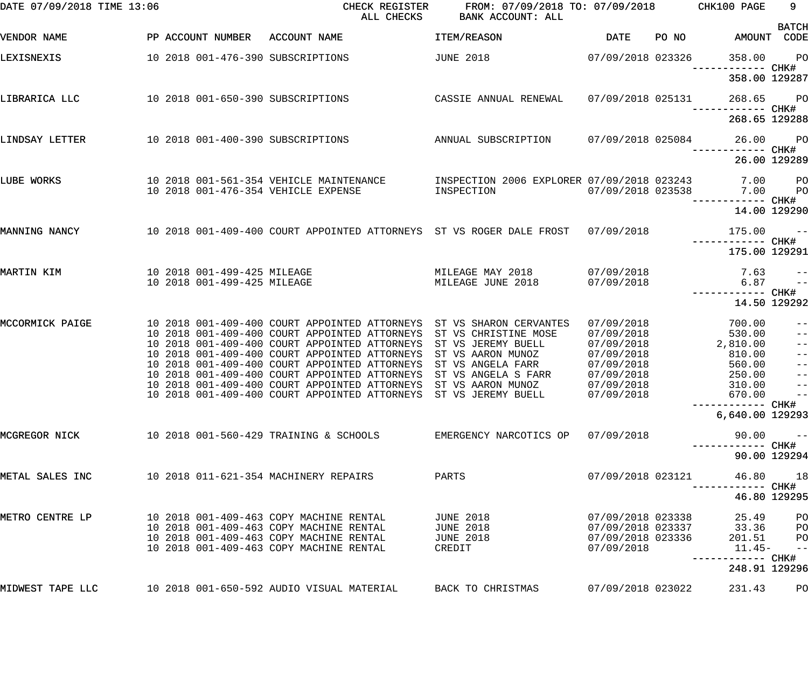| DATE 07/09/2018 TIME 13:06 |  |                                                            | CHECK REGISTER<br>ALL CHECKS                                                                                                                                                                                                                                                                                                                                                                                                                                     | FROM: 07/09/2018 TO: 07/09/2018<br><b>BANK ACCOUNT: ALL</b>                                                 |                                                                                                              |       | CHK100 PAGE                                                                    | 9                                                              |
|----------------------------|--|------------------------------------------------------------|------------------------------------------------------------------------------------------------------------------------------------------------------------------------------------------------------------------------------------------------------------------------------------------------------------------------------------------------------------------------------------------------------------------------------------------------------------------|-------------------------------------------------------------------------------------------------------------|--------------------------------------------------------------------------------------------------------------|-------|--------------------------------------------------------------------------------|----------------------------------------------------------------|
| VENDOR NAME                |  | PP ACCOUNT NUMBER                                          | ACCOUNT NAME                                                                                                                                                                                                                                                                                                                                                                                                                                                     | <b>ITEM/REASON</b>                                                                                          | <b>DATE</b>                                                                                                  | PO NO |                                                                                | <b>BATCH</b><br>AMOUNT CODE                                    |
| LEXISNEXIS                 |  |                                                            | 10 2018 001-476-390 SUBSCRIPTIONS                                                                                                                                                                                                                                                                                                                                                                                                                                | <b>JUNE 2018</b>                                                                                            | 07/09/2018 023326                                                                                            |       | 358.00                                                                         | PO                                                             |
|                            |  |                                                            |                                                                                                                                                                                                                                                                                                                                                                                                                                                                  |                                                                                                             |                                                                                                              |       | ---------- CHK#<br>358.00 129287                                               |                                                                |
| LIBRARICA LLC              |  |                                                            | 10 2018 001-650-390 SUBSCRIPTIONS                                                                                                                                                                                                                                                                                                                                                                                                                                | CASSIE ANNUAL RENEWAL                                                                                       | 07/09/2018 025131                                                                                            |       | 268.65                                                                         | <b>PO</b>                                                      |
|                            |  |                                                            |                                                                                                                                                                                                                                                                                                                                                                                                                                                                  |                                                                                                             |                                                                                                              |       | 268.65 129288                                                                  |                                                                |
| LINDSAY LETTER             |  |                                                            | 10 2018 001-400-390 SUBSCRIPTIONS                                                                                                                                                                                                                                                                                                                                                                                                                                | ANNUAL SUBSCRIPTION                                                                                         | 07/09/2018 025084                                                                                            |       | 26.00<br>------------ CHK#                                                     | <b>PO</b>                                                      |
|                            |  |                                                            |                                                                                                                                                                                                                                                                                                                                                                                                                                                                  |                                                                                                             |                                                                                                              |       |                                                                                | 26.00 129289                                                   |
| LUBE WORKS                 |  |                                                            | 10 2018 001-561-354 VEHICLE MAINTENANCE<br>10 2018 001-476-354 VEHICLE EXPENSE                                                                                                                                                                                                                                                                                                                                                                                   | INSPECTION 2006 EXPLORER 07/09/2018 023243<br>INSPECTION                                                    | 07/09/2018 023538                                                                                            |       | 7.00<br>7.00                                                                   | <b>PO</b><br>PO                                                |
|                            |  |                                                            |                                                                                                                                                                                                                                                                                                                                                                                                                                                                  |                                                                                                             |                                                                                                              |       | ------------ CHK#                                                              | 14.00 129290                                                   |
| MANNING NANCY              |  |                                                            | 10 2018 001-409-400 COURT APPOINTED ATTORNEYS ST VS ROGER DALE FROST                                                                                                                                                                                                                                                                                                                                                                                             |                                                                                                             | 07/09/2018                                                                                                   |       | 175.00                                                                         | $\sim$ $ -$                                                    |
|                            |  |                                                            |                                                                                                                                                                                                                                                                                                                                                                                                                                                                  |                                                                                                             |                                                                                                              |       | 175.00 129291                                                                  |                                                                |
| MARTIN KIM                 |  | 10 2018 001-499-425 MILEAGE<br>10 2018 001-499-425 MILEAGE |                                                                                                                                                                                                                                                                                                                                                                                                                                                                  | MILEAGE MAY 2018<br>MILEAGE JUNE 2018                                                                       | 07/09/2018<br>07/09/2018                                                                                     |       | 7.63<br>6.87                                                                   | $- -$<br>$- -$                                                 |
|                            |  |                                                            |                                                                                                                                                                                                                                                                                                                                                                                                                                                                  |                                                                                                             |                                                                                                              |       | ------------ CHK#                                                              | 14.50 129292                                                   |
| MCCORMICK PAIGE            |  |                                                            | 10 2018 001-409-400 COURT APPOINTED ATTORNEYS ST VS SHARON CERVANTES<br>10 2018 001-409-400 COURT APPOINTED ATTORNEYS<br>10 2018 001-409-400 COURT APPOINTED ATTORNEYS<br>10 2018 001-409-400 COURT APPOINTED ATTORNEYS<br>10 2018 001-409-400 COURT APPOINTED ATTORNEYS<br>10 2018 001-409-400 COURT APPOINTED ATTORNEYS<br>10 2018 001-409-400 COURT APPOINTED ATTORNEYS ST VS AARON MUNOZ<br>10 2018 001-409-400 COURT APPOINTED ATTORNEYS ST VS JEREMY BUELL | ST VS CHRISTINE MOSE<br>ST VS JEREMY BUELL<br>ST VS AARON MUNOZ<br>ST VS ANGELA FARR<br>ST VS ANGELA S FARR | 07/09/2018<br>07/09/2018<br>07/09/2018<br>07/09/2018<br>07/09/2018<br>07/09/2018<br>07/09/2018<br>07/09/2018 |       | 700.00<br>530.00<br>2,810.00<br>810.00<br>560.00<br>250.00<br>310.00<br>670.00 | $- -$<br>$- -$<br>$- -$<br>$ -$<br>$- -$<br>$-$<br>$\sim$ $ -$ |
|                            |  |                                                            |                                                                                                                                                                                                                                                                                                                                                                                                                                                                  |                                                                                                             |                                                                                                              |       | 6,640.00 129293                                                                |                                                                |
| MCGREGOR NICK              |  |                                                            | 10 2018 001-560-429 TRAINING & SCHOOLS                                                                                                                                                                                                                                                                                                                                                                                                                           | EMERGENCY NARCOTICS OP                                                                                      | 07/09/2018                                                                                                   |       | 90.00                                                                          | $- -$                                                          |
|                            |  |                                                            |                                                                                                                                                                                                                                                                                                                                                                                                                                                                  |                                                                                                             |                                                                                                              |       |                                                                                | 90.00 129294                                                   |
| METAL SALES INC            |  |                                                            | 10 2018 011-621-354 MACHINERY REPAIRS                                                                                                                                                                                                                                                                                                                                                                                                                            | PARTS                                                                                                       | 07/09/2018 023121                                                                                            |       | 46.80                                                                          | 18                                                             |
|                            |  |                                                            |                                                                                                                                                                                                                                                                                                                                                                                                                                                                  |                                                                                                             |                                                                                                              |       |                                                                                | 46.80 129295                                                   |
| METRO CENTRE LP            |  |                                                            | 10 2018 001-409-463 COPY MACHINE RENTAL<br>10 2018 001-409-463 COPY MACHINE RENTAL<br>10 2018 001-409-463 COPY MACHINE RENTAL<br>10 2018 001-409-463 COPY MACHINE RENTAL                                                                                                                                                                                                                                                                                         | <b>JUNE 2018</b><br><b>JUNE 2018</b><br><b>JUNE 2018</b><br>CREDIT                                          | 07/09/2018 023338<br>07/09/2018 023337<br>07/09/2018 023336<br>07/09/2018                                    |       | 25.49<br>33.36<br>201.51<br>$11.45-$                                           | PO<br>PO<br>PO<br>$-$ -l                                       |
|                            |  |                                                            |                                                                                                                                                                                                                                                                                                                                                                                                                                                                  |                                                                                                             |                                                                                                              |       | ----------- CHK#<br>248.91 129296                                              |                                                                |
| MIDWEST TAPE LLC           |  |                                                            | 10 2018 001-650-592 AUDIO VISUAL MATERIAL                                                                                                                                                                                                                                                                                                                                                                                                                        | BACK TO CHRISTMAS                                                                                           | 07/09/2018 023022                                                                                            |       | 231.43                                                                         | PO                                                             |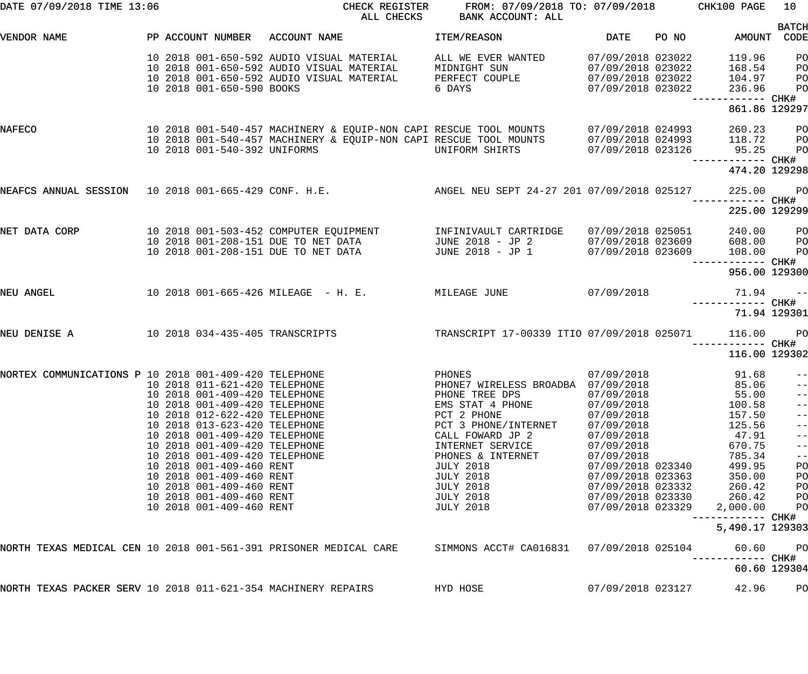| DATE 07/09/2018 TIME 13:06                                        |  |                               | CHECK REGISTER<br>ALL CHECKS                                                                    | FROM: 07/09/2018 TO: 07/09/2018 CHK100 PAGE<br>BANK ACCOUNT: ALL |                   |       |                   | 10                |
|-------------------------------------------------------------------|--|-------------------------------|-------------------------------------------------------------------------------------------------|------------------------------------------------------------------|-------------------|-------|-------------------|-------------------|
| VENDOR NAME                                                       |  |                               | PP ACCOUNT NUMBER ACCOUNT NAME                                                                  | ITEM/REASON                                                      | DATE              | PO NO | AMOUNT CODE       | <b>BATCH</b>      |
|                                                                   |  |                               |                                                                                                 |                                                                  |                   |       |                   |                   |
|                                                                   |  |                               | 10 2018 001-650-592 AUDIO VISUAL MATERIAL                                                       | ALL WE EVER WANTED                                               | 07/09/2018 023022 |       | 119.96            | P <sub>O</sub>    |
|                                                                   |  |                               | 10 2018 001-650-592 AUDIO VISUAL MATERIAL                                                       | MIDNIGHT SUN                                                     | 07/09/2018 023022 |       | 168.54            | PO                |
|                                                                   |  |                               | 10 2018 001-650-592 AUDIO VISUAL MATERIAL                                                       | PERFECT COUPLE                                                   | 07/09/2018 023022 |       | 104.97            | PO                |
|                                                                   |  | 10 2018 001-650-590 BOOKS     |                                                                                                 | 6 DAYS                                                           | 07/09/2018 023022 |       | 236.96            | P <sub>O</sub>    |
|                                                                   |  |                               |                                                                                                 |                                                                  |                   |       | ------------ CHK# |                   |
|                                                                   |  |                               |                                                                                                 |                                                                  |                   |       | 861.86 129297     |                   |
| NAFECO                                                            |  |                               | 10  2018  001-540-457  MACHINERY & EQUIP-NON CAPI RESCUE TOOL MOUNTS                            |                                                                  | 07/09/2018 024993 |       | 260.23            | <b>PO</b>         |
|                                                                   |  |                               | 10 2018 001-540-457 MACHINERY & EQUIP-NON CAPI RESCUE TOOL MOUNTS                               |                                                                  | 07/09/2018 024993 |       | 118.72            | <b>PO</b>         |
|                                                                   |  | 10 2018 001-540-392 UNIFORMS  |                                                                                                 | UNIFORM SHIRTS                                                   | 07/09/2018 023126 |       | 95.25             | P <sub>O</sub>    |
|                                                                   |  |                               |                                                                                                 |                                                                  |                   |       | ------------ CHK# |                   |
|                                                                   |  |                               |                                                                                                 |                                                                  |                   |       | 474.20 129298     |                   |
|                                                                   |  |                               | NEAFCS ANNUAL SESSION 10 2018 001-665-429 CONF. H.E. ANGEL NEU SEPT 24-27 201 07/09/2018 025127 |                                                                  |                   |       | 225.00 PO         |                   |
|                                                                   |  |                               |                                                                                                 |                                                                  |                   |       |                   |                   |
|                                                                   |  |                               |                                                                                                 |                                                                  |                   |       | 225.00 129299     |                   |
| NET DATA CORP                                                     |  |                               | 10 2018 001-503-452 COMPUTER EQUIPMENT                                                          | INFINIVAULT CARTRIDGE                                            | 07/09/2018 025051 |       | 240.00 PO         |                   |
|                                                                   |  |                               |                                                                                                 | JUNE 2018 - JP 2                                                 | 07/09/2018 023609 |       | 608.00            | <b>PO</b>         |
|                                                                   |  |                               | 10 2018 001-208-151 DUE TO NET DATA<br>10 2018 001-208-151 DUE TO NET DATA                      | JUNE 2018 - JP 1                                                 | 07/09/2018 023609 |       | 108.00            | P <sub>O</sub>    |
|                                                                   |  |                               |                                                                                                 |                                                                  |                   |       | ------------ CHK# |                   |
|                                                                   |  |                               |                                                                                                 |                                                                  |                   |       | 956.00 129300     |                   |
| NEU ANGEL                                                         |  |                               | 10 2018 001-665-426 MILEAGE - H. E. MILEAGE JUNE 67/09/2018                                     |                                                                  |                   |       | $71.94 -$         |                   |
|                                                                   |  |                               |                                                                                                 |                                                                  |                   |       | ------------ CHK# |                   |
|                                                                   |  |                               |                                                                                                 |                                                                  |                   |       | 71.94 129301      |                   |
| NEU DENISE A                                                      |  |                               | 10 2018 034-435-405 TRANSCRIPTS                                                                 | TRANSCRIPT 17-00339 ITIO 07/09/2018 025071                       |                   |       | 116.00 PO         |                   |
|                                                                   |  |                               |                                                                                                 |                                                                  |                   |       | —————————— CHK#   |                   |
|                                                                   |  |                               |                                                                                                 |                                                                  |                   |       | 116.00 129302     |                   |
| NORTEX COMMUNICATIONS P 10 2018 001-409-420 TELEPHONE             |  |                               |                                                                                                 | PHONES                                                           | 07/09/2018        |       | 91.68             | $\sim$ $-$        |
| 10 2018 011-621-420 TELEPHONE                                     |  |                               |                                                                                                 | PHONE7 WIRELESS BROADBA 07/09/2018                               |                   |       | $85.06$ --        |                   |
|                                                                   |  | 10 2018 001-409-420 TELEPHONE |                                                                                                 | PHONE TREE DPS                                                   | 07/09/2018        |       | 55.00             | $- -$             |
|                                                                   |  | 10 2018 001-409-420 TELEPHONE |                                                                                                 | EMS STAT 4 PHONE                                                 | 07/09/2018        |       | 100.58            | $\qquad \qquad -$ |
|                                                                   |  | 10 2018 012-622-420 TELEPHONE |                                                                                                 | PCT 2 PHONE                                                      | 07/09/2018        |       | 157.50            | $ -$              |
|                                                                   |  | 10 2018 013-623-420 TELEPHONE |                                                                                                 | PCT 3 PHONE/INTERNET                                             | 07/09/2018        |       | 125.56            | $ -$              |
|                                                                   |  | 10 2018 001-409-420 TELEPHONE |                                                                                                 | CALL FOWARD JP 2                                                 | 07/09/2018        |       | 47.91             | $ -$              |
|                                                                   |  | 10 2018 001-409-420 TELEPHONE |                                                                                                 | INTERNET SERVICE                                                 | 07/09/2018        |       | 670.75            | $ -$              |
|                                                                   |  | 10 2018 001-409-420 TELEPHONE |                                                                                                 | PHONES & INTERNET                                                | 07/09/2018        |       | 785.34            | $\qquad \qquad -$ |
|                                                                   |  |                               |                                                                                                 |                                                                  |                   |       |                   |                   |
|                                                                   |  | 10 2018 001-409-460 RENT      |                                                                                                 | <b>JULY 2018</b>                                                 | 07/09/2018 023340 |       | 499.95            | PO                |
|                                                                   |  | 10 2018 001-409-460 RENT      |                                                                                                 | <b>JULY 2018</b>                                                 | 07/09/2018 023363 |       | 350.00            | PO                |
|                                                                   |  | 10 2018 001-409-460 RENT      |                                                                                                 | <b>JULY 2018</b>                                                 | 07/09/2018 023332 |       | 260.42            | PO                |
|                                                                   |  | 10 2018 001-409-460 RENT      |                                                                                                 | <b>JULY 2018</b>                                                 | 07/09/2018 023330 |       | 260.42            | PO                |
|                                                                   |  | 10 2018 001-409-460 RENT      |                                                                                                 | <b>JULY 2018</b>                                                 | 07/09/2018 023329 |       | 2,000.00          | PO                |
|                                                                   |  |                               |                                                                                                 |                                                                  |                   |       | -------- CHK#     |                   |
|                                                                   |  |                               |                                                                                                 |                                                                  |                   |       | 5,490.17 129303   |                   |
| NORTH TEXAS MEDICAL CEN 10 2018 001-561-391 PRISONER MEDICAL CARE |  |                               |                                                                                                 | SIMMONS ACCT# CA016831                                           | 07/09/2018 025104 |       | 60.60             | P <sub>O</sub>    |
|                                                                   |  |                               |                                                                                                 |                                                                  |                   |       |                   |                   |
|                                                                   |  |                               |                                                                                                 |                                                                  |                   |       | 60.60 129304      |                   |
| NORTH TEXAS PACKER SERV 10 2018 011-621-354 MACHINERY REPAIRS     |  |                               |                                                                                                 | HYD HOSE                                                         | 07/09/2018 023127 |       | 42.96             | PO                |
|                                                                   |  |                               |                                                                                                 |                                                                  |                   |       |                   |                   |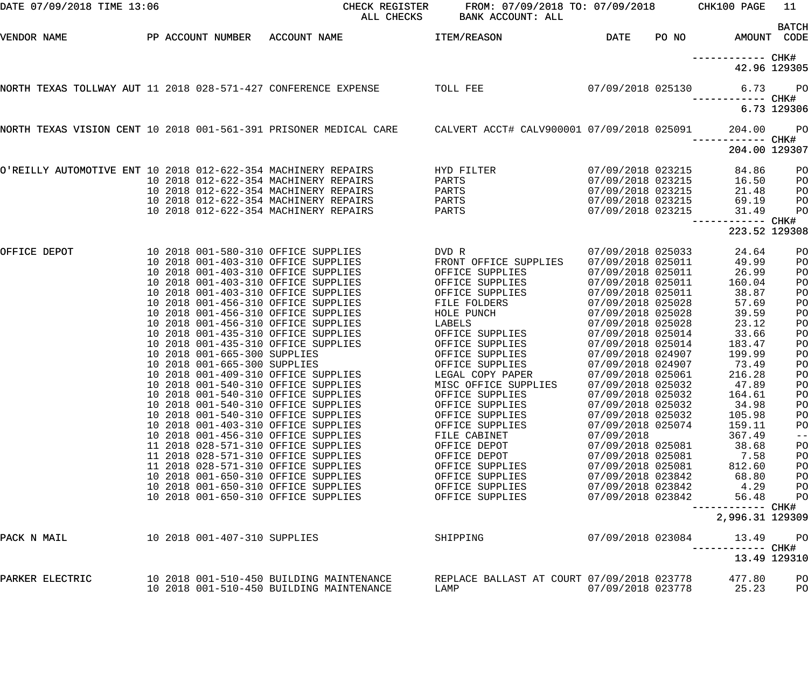| DATE 07/09/2018 TIME 13:06                                     |  |                              | CHECK REGISTER<br>ALL CHECKS                                                                                 | FROM: 07/09/2018 TO: 07/09/2018<br><b>BANK ACCOUNT: ALL</b> |                                        |       | CHK100 PAGE                        | 11                          |
|----------------------------------------------------------------|--|------------------------------|--------------------------------------------------------------------------------------------------------------|-------------------------------------------------------------|----------------------------------------|-------|------------------------------------|-----------------------------|
| VENDOR NAME                                                    |  |                              | PP ACCOUNT NUMBER ACCOUNT NAME                                                                               | ITEM/REASON                                                 | DATE                                   | PO NO |                                    | <b>BATCH</b><br>AMOUNT CODE |
|                                                                |  |                              |                                                                                                              |                                                             |                                        |       |                                    |                             |
|                                                                |  |                              |                                                                                                              |                                                             |                                        |       |                                    | 42.96 129305                |
| NORTH TEXAS TOLLWAY AUT 11 2018 028-571-427 CONFERENCE EXPENSE |  |                              |                                                                                                              | TOLL FEE                                                    |                                        |       | 07/09/2018 025130 6.73             | <b>PO</b>                   |
|                                                                |  |                              |                                                                                                              |                                                             |                                        |       |                                    | 6.73 129306                 |
|                                                                |  |                              | NORTH TEXAS VISION CENT 10 2018 001-561-391 PRISONER MEDICAL CARE CALVERT ACCT# CALV900001 07/09/2018 025091 |                                                             |                                        |       | 204.00                             | $P$ O                       |
|                                                                |  |                              |                                                                                                              |                                                             |                                        |       | ------------ CHK#<br>204.00 129307 |                             |
| O'REILLY AUTOMOTIVE ENT 10 2018 012-622-354 MACHINERY REPAIRS  |  |                              |                                                                                                              | HYD FILTER                                                  | 07/09/2018 023215                      |       | 84.86                              | PO                          |
|                                                                |  |                              | 10 2018 012-622-354 MACHINERY REPAIRS                                                                        | PARTS                                                       | 07/09/2018 023215                      |       | 16.50                              | PO                          |
|                                                                |  |                              | 10 2018 012-622-354 MACHINERY REPAIRS                                                                        | PARTS                                                       | 07/09/2018 023215                      |       | 21.48                              | PO                          |
|                                                                |  |                              | 10 2018 012-622-354 MACHINERY REPAIRS                                                                        | PARTS                                                       | 07/09/2018 023215                      |       | 69.19                              | PO                          |
|                                                                |  |                              | 10 2018 012-622-354 MACHINERY REPAIRS                                                                        | PARTS                                                       | 07/09/2018 023215                      |       | 31.49<br>------------ CHK#         | PO                          |
|                                                                |  |                              |                                                                                                              |                                                             |                                        |       | 223.52 129308                      |                             |
| OFFICE DEPOT                                                   |  |                              | 10 2018 001-580-310 OFFICE SUPPLIES                                                                          | DVD R                                                       | 07/09/2018 025033                      |       | 24.64                              | PO                          |
|                                                                |  |                              | 10 2018 001-403-310 OFFICE SUPPLIES                                                                          | FRONT OFFICE SUPPLIES                                       | 07/09/2018 025011                      |       | 49.99                              | PO                          |
|                                                                |  |                              | 10 2018 001-403-310 OFFICE SUPPLIES                                                                          | OFFICE SUPPLIES                                             | 07/09/2018 025011                      |       | 26.99                              | PO                          |
|                                                                |  |                              | 10 2018 001-403-310 OFFICE SUPPLIES                                                                          | OFFICE SUPPLIES                                             | 07/09/2018 025011                      |       | 160.04                             | PO                          |
|                                                                |  |                              | 10 2018 001-403-310 OFFICE SUPPLIES                                                                          | OFFICE SUPPLIES                                             | 07/09/2018 025011                      |       | 38.87                              | PO                          |
|                                                                |  |                              | 10 2018 001-456-310 OFFICE SUPPLIES                                                                          | FILE FOLDERS                                                | 07/09/2018 025028                      |       | 57.69                              | PO                          |
|                                                                |  |                              | 10 2018 001-456-310 OFFICE SUPPLIES                                                                          | HOLE PUNCH                                                  | 07/09/2018 025028                      |       | 39.59                              | PO                          |
|                                                                |  |                              | 10 2018 001-456-310 OFFICE SUPPLIES                                                                          | LABELS                                                      | 07/09/2018 025028                      |       | 23.12                              | PO                          |
|                                                                |  |                              | 10 2018 001-435-310 OFFICE SUPPLIES                                                                          | OFFICE SUPPLIES                                             | 07/09/2018 025014                      |       | 33.66                              | PO                          |
|                                                                |  |                              | 10 2018 001-435-310 OFFICE SUPPLIES                                                                          | OFFICE SUPPLIES                                             | 07/09/2018 025014                      |       | 183.47                             | PO                          |
|                                                                |  | 10 2018 001-665-300 SUPPLIES |                                                                                                              | OFFICE SUPPLIES                                             | 07/09/2018 024907                      |       | 199.99                             | PO                          |
|                                                                |  | 10 2018 001-665-300 SUPPLIES |                                                                                                              | OFFICE SUPPLIES                                             | 07/09/2018 024907                      |       | 73.49                              | PO                          |
|                                                                |  |                              | 10 2018 001-409-310 OFFICE SUPPLIES                                                                          | LEGAL COPY PAPER                                            | 07/09/2018 025061                      |       | 216.28                             | PO                          |
|                                                                |  |                              | 10 2018 001-540-310 OFFICE SUPPLIES                                                                          | MISC OFFICE SUPPLIES                                        | 07/09/2018 025032                      |       | 47.89                              | P <sub>O</sub>              |
|                                                                |  |                              | 10 2018 001-540-310 OFFICE SUPPLIES                                                                          | OFFICE SUPPLIES                                             | 07/09/2018 025032                      |       | 164.61                             | PO                          |
|                                                                |  |                              | 10 2018 001-540-310 OFFICE SUPPLIES                                                                          | OFFICE SUPPLIES                                             | 07/09/2018 025032                      |       | 34.98                              | PO                          |
|                                                                |  |                              | 10 2018 001-540-310 OFFICE SUPPLIES<br>10 2018 001-403-310 OFFICE SUPPLIES                                   | OFFICE SUPPLIES<br>OFFICE SUPPLIES                          | 07/09/2018 025032<br>07/09/2018 025074 |       | 105.98<br>159.11                   | PO                          |
|                                                                |  |                              | 10 2018 001-456-310 OFFICE SUPPLIES                                                                          | FILE CABINET                                                | 07/09/2018                             |       | 367.49                             | PO<br>$- -$                 |
|                                                                |  |                              | 11 2018 028-571-310 OFFICE SUPPLIES                                                                          | OFFICE DEPOT                                                | 07/09/2018 025081                      |       | 38.68                              | PO                          |
|                                                                |  |                              | 11 2018 028-571-310 OFFICE SUPPLIES                                                                          | OFFICE DEPOT                                                | 07/09/2018 025081                      |       | 7.58                               | PO                          |
|                                                                |  |                              | 11 2018 028-571-310 OFFICE SUPPLIES                                                                          | OFFICE SUPPLIES                                             | 07/09/2018 025081                      |       | 812.60                             | PO                          |
|                                                                |  |                              | 10 2018 001-650-310 OFFICE SUPPLIES                                                                          | OFFICE SUPPLIES                                             | 07/09/2018 023842                      |       | 68.80                              | PO                          |
|                                                                |  |                              | 10 2018 001-650-310 OFFICE SUPPLIES                                                                          | OFFICE SUPPLIES                                             | 07/09/2018 023842                      |       | 4.29                               | PO                          |
|                                                                |  |                              | 10 2018 001-650-310 OFFICE SUPPLIES                                                                          | OFFICE SUPPLIES                                             | 07/09/2018 023842                      |       | 56.48                              | PO                          |
|                                                                |  |                              |                                                                                                              |                                                             |                                        |       | ------------ CHK#                  |                             |
|                                                                |  |                              |                                                                                                              |                                                             |                                        |       | 2,996.31 129309                    |                             |
| PACK N MAIL                                                    |  | 10 2018 001-407-310 SUPPLIES |                                                                                                              | SHIPPING                                                    | 07/09/2018 023084                      |       | 13.49<br>------------ CHK#         | P <sub>O</sub>              |
|                                                                |  |                              |                                                                                                              |                                                             |                                        |       |                                    | 13.49 129310                |
| PARKER ELECTRIC                                                |  |                              | 10 2018 001-510-450 BUILDING MAINTENANCE                                                                     | REPLACE BALLAST AT COURT 07/09/2018 023778                  |                                        |       | 477.80                             | PO                          |
|                                                                |  |                              | 10 2018 001-510-450 BUILDING MAINTENANCE                                                                     | LAMP                                                        | 07/09/2018 023778                      |       | 25.23                              | PO                          |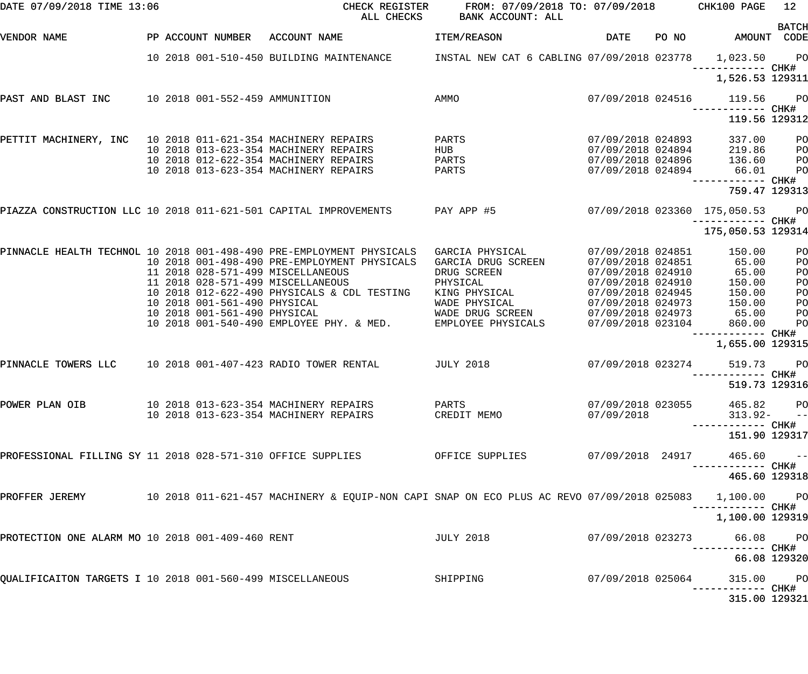| DATE 07/09/2018 TIME 13:06                                       |  |                              | CHECK REGISTER<br>ALL CHECKS                                                                             | FROM: 07/09/2018 TO: 07/09/2018 CHK100 PAGE<br>BANK ACCOUNT: ALL |                                        |       |                                                  | 12           |
|------------------------------------------------------------------|--|------------------------------|----------------------------------------------------------------------------------------------------------|------------------------------------------------------------------|----------------------------------------|-------|--------------------------------------------------|--------------|
| VENDOR NAME                                                      |  | PP ACCOUNT NUMBER            | ACCOUNT NAME                                                                                             | ITEM/REASON                                                      | DATE                                   | PO NO | AMOUNT CODE                                      | <b>BATCH</b> |
|                                                                  |  |                              | 10 2018 001-510-450 BUILDING MAINTENANCE MINSTAL NEW CAT 6 CABLING 07/09/2018 023778 1,023.50 PO         |                                                                  |                                        |       |                                                  |              |
|                                                                  |  |                              |                                                                                                          |                                                                  |                                        |       | 1,526.53 129311                                  |              |
| PAST AND BLAST INC 10 2018 001-552-459 AMMUNITION                |  |                              |                                                                                                          | AMMO                                                             | 07/09/2018 024516                      |       | 119.56<br>—————————— CHK#                        | <b>PO</b>    |
|                                                                  |  |                              |                                                                                                          |                                                                  |                                        |       | 119.56 129312                                    |              |
| PETTIT MACHINERY, INC 10 2018 011-621-354 MACHINERY REPAIRS      |  |                              |                                                                                                          | PARTS                                                            | 07/09/2018 024893                      |       | 337.00                                           | PO           |
|                                                                  |  |                              | 10 2018 013-623-354 MACHINERY REPAIRS                                                                    | HUB                                                              | 07/09/2018 024894<br>07/09/2018 024896 |       | 219.86                                           | PO           |
|                                                                  |  |                              | 10 2018 012-622-354 MACHINERY REPAIRS                                                                    | PARTS                                                            |                                        |       | 136.60                                           | PO           |
|                                                                  |  |                              | 10 2018 013-623-354 MACHINERY REPAIRS                                                                    | PARTS                                                            | 07/09/2018 024894                      |       | 66.01                                            | PO           |
|                                                                  |  |                              |                                                                                                          |                                                                  |                                        |       | ------------ CHK#<br>759.47 129313               |              |
| PIAZZA CONSTRUCTION LLC 10 2018 011-621-501 CAPITAL IMPROVEMENTS |  |                              |                                                                                                          | PAY APP #5                                                       |                                        |       | 07/09/2018 023360 175,050.53<br>----------- CHK# | <b>PO</b>    |
|                                                                  |  |                              |                                                                                                          |                                                                  |                                        |       | 175,050.53 129314                                |              |
|                                                                  |  |                              | PINNACLE HEALTH TECHNOL 10 2018 001-498-490 PRE-EMPLOYMENT PHYSICALS                                     | GARCIA PHYSICAL                                                  | 07/09/2018 024851                      |       | 150.00                                           | PO           |
|                                                                  |  |                              | 10 2018 001-498-490 PRE-EMPLOYMENT PHYSICALS                                                             | GARCIA DRUG SCREEN                                               | 07/09/2018 024851                      |       | 65.00                                            | PO           |
|                                                                  |  |                              | 11 2018 028-571-499 MISCELLANEOUS                                                                        | DRUG SCREEN                                                      | 07/09/2018 024910                      |       | 65.00                                            | PO           |
|                                                                  |  |                              | 11 2018 028-571-499 MISCELLANEOUS                                                                        | PHYSICAL                                                         | 07/09/2018 024910                      |       | 150.00                                           | PO           |
|                                                                  |  |                              | 10 2018 012-622-490 PHYSICALS & CDL TESTING                                                              | KING PHYSICAL                                                    | 07/09/2018 024945                      |       | 150.00                                           | PO           |
|                                                                  |  | 10 2018 001-561-490 PHYSICAL |                                                                                                          | WADE PHYSICAL                                                    | 07/09/2018 024973                      |       | 150.00                                           | PO           |
|                                                                  |  | 10 2018 001-561-490 PHYSICAL |                                                                                                          | WADE DRUG SCREEN                                                 | 07/09/2018 024973                      |       | 65.00                                            | PO           |
|                                                                  |  |                              | 10 2018 001-540-490 EMPLOYEE PHY. & MED.                                                                 | EMPLOYEE PHYSICALS                                               | 07/09/2018 023104                      |       | 860.00<br>------------ CHK#                      | PO           |
|                                                                  |  |                              |                                                                                                          |                                                                  |                                        |       | 1,655.00 129315                                  |              |
| PINNACLE TOWERS LLC                                              |  |                              | 10 2018 001-407-423 RADIO TOWER RENTAL                                                                   | <b>JULY 2018</b>                                                 | 07/09/2018 023274                      |       | 519.73                                           | <b>PO</b>    |
|                                                                  |  |                              |                                                                                                          |                                                                  |                                        |       | 519.73 129316                                    |              |
| POWER PLAN OIB                                                   |  |                              | 10 2018 013-623-354 MACHINERY REPAIRS                                                                    | PARTS                                                            | 07/09/2018 023055                      |       | 465.82 PO                                        |              |
|                                                                  |  |                              | 10 2018 013-623-354 MACHINERY REPAIRS                                                                    | CREDIT MEMO                                                      | 07/09/2018                             |       | $313.92- -$                                      |              |
|                                                                  |  |                              |                                                                                                          |                                                                  |                                        |       | 151.90 129317                                    |              |
| PROFESSIONAL FILLING SY 11 2018 028-571-310 OFFICE SUPPLIES      |  |                              |                                                                                                          | OFFICE SUPPLIES 07/09/2018 24917                                 |                                        |       | $465.60 - -$<br>---------- CHK# <sup> </sup>     |              |
|                                                                  |  |                              |                                                                                                          |                                                                  |                                        |       | 465.60 129318                                    |              |
|                                                                  |  |                              | PROFFER JEREMY 10 2018 011-621-457 MACHINERY & EQUIP-NON CAPI SNAP ON ECO PLUS AC REVO 07/09/2018 025083 |                                                                  |                                        |       | 1,100.00 PO                                      |              |
|                                                                  |  |                              |                                                                                                          |                                                                  |                                        |       | --------- CHK#<br>1,100.00 129319                |              |
| PROTECTION ONE ALARM MO 10 2018 001-409-460 RENT                 |  |                              |                                                                                                          | <b>JULY 2018</b>                                                 | 07/09/2018 023273                      |       | 66.08 PO<br>----------- CHK#                     |              |
|                                                                  |  |                              |                                                                                                          |                                                                  |                                        |       | 66.08 129320                                     |              |
| QUALIFICAITON TARGETS I 10 2018 001-560-499 MISCELLANEOUS        |  |                              |                                                                                                          | SHIPPING                                                         | 07/09/2018 025064                      |       | 315.00 PO                                        |              |
|                                                                  |  |                              |                                                                                                          |                                                                  |                                        |       | 315.00 129321                                    |              |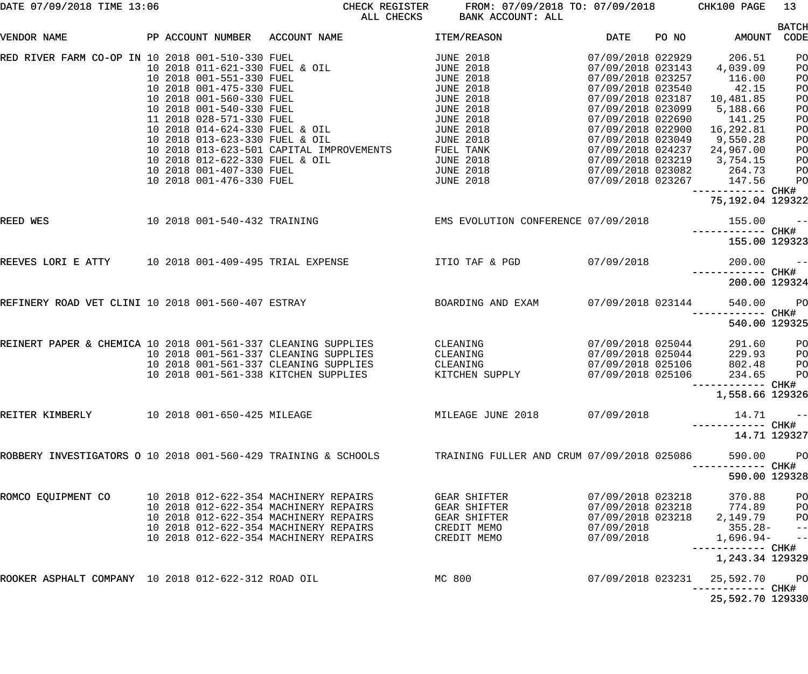| DATE 07/09/2018 TIME 13:06 |  |  |
|----------------------------|--|--|
|                            |  |  |

CHECK REGISTER FROM:  $07/09/2018$  TO:  $07/09/2018$  CHK100 PAGE 13<br>ALL CHECKS BANK ACCOUNT: ALL BANK ACCOUNT: ALL

|                                                                |  |                                                                                        |                                                                                                                                                                                                                                                                                                                                                                                      |                                                                                                                                                                                                                                      |                                                                                                                                                                                                                                                                                       |       |                                                                                                                                                | <b>BATCH</b>                                                               |
|----------------------------------------------------------------|--|----------------------------------------------------------------------------------------|--------------------------------------------------------------------------------------------------------------------------------------------------------------------------------------------------------------------------------------------------------------------------------------------------------------------------------------------------------------------------------------|--------------------------------------------------------------------------------------------------------------------------------------------------------------------------------------------------------------------------------------|---------------------------------------------------------------------------------------------------------------------------------------------------------------------------------------------------------------------------------------------------------------------------------------|-------|------------------------------------------------------------------------------------------------------------------------------------------------|----------------------------------------------------------------------------|
| VENDOR NAME                                                    |  |                                                                                        | PP ACCOUNT NUMBER ACCOUNT NAME                                                                                                                                                                                                                                                                                                                                                       | ITEM/REASON                                                                                                                                                                                                                          | DATE                                                                                                                                                                                                                                                                                  | PO NO | <b>AMOUNT</b>                                                                                                                                  | CODE                                                                       |
| RED RIVER FARM CO-OP IN 10 2018 001-510-330 FUEL               |  | 10 2018 012-622-330 FUEL & OIL<br>10 2018 001-407-330 FUEL<br>10 2018 001-476-330 FUEL | 10 2018 001-510-330 FUEL<br>10 2018 011-621-330 FUEL & OIL<br>10 2018 001-551-330 FUEL<br>10 2018 001-475-330 FUEL<br>10 2018 001-560-330 FUEL<br>10 2018 001-540-330 FUEL<br>11 2018 028-571-330 FUEL<br>10 2018 014-624-330 FUEL<br>11 2018 028-5/1-330 FUEL & OIL<br>10 2018 014-624-330 FUEL & OIL<br>10 2018 013-623-330 FUEL & OIL<br>10 2018 013-623-501 CAPITAL IMPROVEMENTS | <b>JUNE 2018</b><br><b>JUNE 2018</b><br><b>JUNE 2018</b><br><b>JUNE 2018</b><br><b>JUNE 2018</b><br><b>JUNE 2018</b><br>JUNE 2018<br>JUNE 2018<br><b>JUNE 2018</b><br>FUEL TANK<br><b>JUNE 2018</b><br>JUNE 2018<br><b>JUNE 2018</b> | 07/09/2018 022929<br>07/09/2018 023143<br>07/09/2018 023257<br>07/09/2018 023540<br>07/09/2018 023187<br>07/09/2018 023099<br>07/09/2018 022690<br>07/09/2018 022900 16,292.81<br>07/09/2018 023049<br>07/09/2018 024237 24,967.00<br>07/09/2018 023219 3,754.15<br>07/09/2018 023082 |       | 206.51<br>4,039.09<br>116.00<br>42.15<br>10,481.85<br>5,188.66<br>141.25<br>9,550.28<br>264.73<br>07/09/2018 023267 147.56<br>----------- CHK# | PO<br>PO<br>PO<br>PO<br>PO<br>PO<br>PO<br>PO<br>PO<br>PO<br>PO<br>PO<br>PO |
|                                                                |  |                                                                                        |                                                                                                                                                                                                                                                                                                                                                                                      |                                                                                                                                                                                                                                      |                                                                                                                                                                                                                                                                                       |       | 75,192.04 129322                                                                                                                               |                                                                            |
| REED WES                                                       |  |                                                                                        |                                                                                                                                                                                                                                                                                                                                                                                      | 10 2018 001-540-432 TRAINING EMS EVOLUTION CONFERENCE 07/09/2018                                                                                                                                                                     |                                                                                                                                                                                                                                                                                       |       | 155.00<br>------------ CHK#                                                                                                                    | $\sim$ $ -$                                                                |
|                                                                |  |                                                                                        |                                                                                                                                                                                                                                                                                                                                                                                      |                                                                                                                                                                                                                                      |                                                                                                                                                                                                                                                                                       |       | 155.00 129323                                                                                                                                  |                                                                            |
| REEVES LORI E ATTY 10 2018 001-409-495 TRIAL EXPENSE           |  |                                                                                        |                                                                                                                                                                                                                                                                                                                                                                                      | ITIO TAF & PGD                                                                                                                                                                                                                       | 07/09/2018                                                                                                                                                                                                                                                                            |       | 200.00                                                                                                                                         | $\sim$ $ -$                                                                |
|                                                                |  |                                                                                        |                                                                                                                                                                                                                                                                                                                                                                                      |                                                                                                                                                                                                                                      |                                                                                                                                                                                                                                                                                       |       | ------------ CHK#<br>200.00 129324                                                                                                             |                                                                            |
| REFINERY ROAD VET CLINI 10 2018 001-560-407 ESTRAY             |  |                                                                                        |                                                                                                                                                                                                                                                                                                                                                                                      | BOARDING AND EXAM                                                                                                                                                                                                                    | 07/09/2018 023144                                                                                                                                                                                                                                                                     |       | 540.00                                                                                                                                         | PO                                                                         |
|                                                                |  |                                                                                        |                                                                                                                                                                                                                                                                                                                                                                                      |                                                                                                                                                                                                                                      |                                                                                                                                                                                                                                                                                       |       | ------------ CHK#<br>540.00 129325                                                                                                             |                                                                            |
| REINERT PAPER & CHEMICA 10 2018 001-561-337 CLEANING SUPPLIES  |  |                                                                                        | 10 2018 001-561-337 CLEANING SUPPLIES<br>10 2018 001-561-337 CLEANING SUPPLIES<br>10 2018 001-561-338 KITCHEN SUPPLIES                                                                                                                                                                                                                                                               | CLEANING<br>CLEANING<br>CLEANING<br>KITCHEN SUPPLY                                                                                                                                                                                   | 07/09/2018 025044<br>07/09/2018 025044<br>07/09/2018 025106<br>07/09/2018 025106                                                                                                                                                                                                      |       | 291.60<br>229.93<br>802.48<br>234.65<br>----------- CHK#                                                                                       | PO<br>PO<br>PO<br>PO                                                       |
|                                                                |  |                                                                                        |                                                                                                                                                                                                                                                                                                                                                                                      |                                                                                                                                                                                                                                      |                                                                                                                                                                                                                                                                                       |       | 1,558.66 129326                                                                                                                                |                                                                            |
| REITER KIMBERLY                                                |  | 10 2018 001-650-425 MILEAGE                                                            |                                                                                                                                                                                                                                                                                                                                                                                      | MILEAGE JUNE 2018                                                                                                                                                                                                                    | 07/09/2018                                                                                                                                                                                                                                                                            |       | 14.71                                                                                                                                          | $\sim$ $ -$                                                                |
|                                                                |  |                                                                                        |                                                                                                                                                                                                                                                                                                                                                                                      |                                                                                                                                                                                                                                      |                                                                                                                                                                                                                                                                                       |       | 14.71 129327                                                                                                                                   |                                                                            |
| ROBBERY INVESTIGATORS O 10 2018 001-560-429 TRAINING & SCHOOLS |  |                                                                                        |                                                                                                                                                                                                                                                                                                                                                                                      | TRAINING FULLER AND CRUM 07/09/2018 025086                                                                                                                                                                                           |                                                                                                                                                                                                                                                                                       |       | 590.00<br>----------- CHK#                                                                                                                     | PO                                                                         |
|                                                                |  |                                                                                        |                                                                                                                                                                                                                                                                                                                                                                                      |                                                                                                                                                                                                                                      |                                                                                                                                                                                                                                                                                       |       | 590.00 129328                                                                                                                                  |                                                                            |
| ROMCO EQUIPMENT CO                                             |  |                                                                                        | 10 2018 012-622-354 MACHINERY REPAIRS<br>10 2018 012-622-354 MACHINERY REPAIRS<br>10 2018 012-622-354 MACHINERY REPAIRS<br>10 2018 012-622-354 MACHINERY REPAIRS<br>10 2018 012-622-354 MACHINERY REPAIRS                                                                                                                                                                            | GEAR SHIFTER<br>GEAR SHIFTER<br>GEAR SHIFTER<br>CREDIT MEMO<br>CREDIT MEMO                                                                                                                                                           | 07/09/2018 023218<br>07/09/2018 023218<br>07/09/2018 023218<br>07/09/2018<br>07/09/2018                                                                                                                                                                                               |       | 370.88<br>774.89<br>2,149.79<br>355.28-<br>$1,696.94-$                                                                                         | PO<br>PO<br>PO<br>$ -$<br>$-$                                              |
|                                                                |  |                                                                                        |                                                                                                                                                                                                                                                                                                                                                                                      |                                                                                                                                                                                                                                      |                                                                                                                                                                                                                                                                                       |       | 1,243.34 129329                                                                                                                                |                                                                            |
| ROOKER ASPHALT COMPANY 10 2018 012-622-312 ROAD OIL            |  |                                                                                        |                                                                                                                                                                                                                                                                                                                                                                                      | MC 800                                                                                                                                                                                                                               | 07/09/2018 023231                                                                                                                                                                                                                                                                     |       | 25,592.70<br>------------ CHK#                                                                                                                 | PO                                                                         |
|                                                                |  |                                                                                        |                                                                                                                                                                                                                                                                                                                                                                                      |                                                                                                                                                                                                                                      |                                                                                                                                                                                                                                                                                       |       | 25,592.70 129330                                                                                                                               |                                                                            |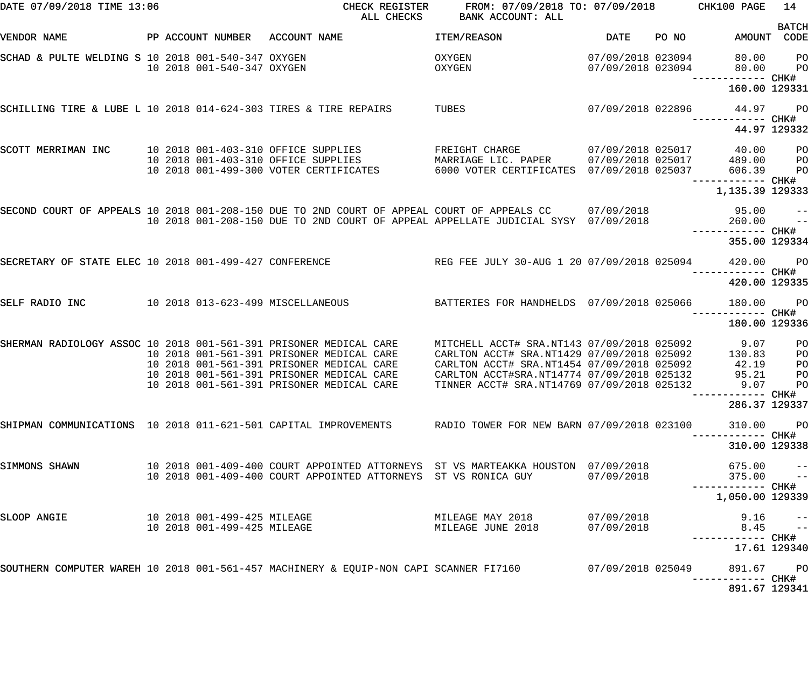| DATE 07/09/2018 TIME 13:06                                        |  |                             | CHECK REGISTER<br>ALL CHECKS                                                                                                                                                               | FROM: 07/09/2018 TO: 07/09/2018 CHK100 PAGE<br>BANK ACCOUNT: ALL                                                            |                                        |       |                                    | 14                                        |
|-------------------------------------------------------------------|--|-----------------------------|--------------------------------------------------------------------------------------------------------------------------------------------------------------------------------------------|-----------------------------------------------------------------------------------------------------------------------------|----------------------------------------|-------|------------------------------------|-------------------------------------------|
| VENDOR NAME                                                       |  | PP ACCOUNT NUMBER           | ACCOUNT NAME                                                                                                                                                                               | ITEM/REASON                                                                                                                 | <b>DATE</b>                            | PO NO | AMOUNT CODE                        | <b>BATCH</b>                              |
| SCHAD & PULTE WELDING S 10 2018 001-540-347 OXYGEN                |  | 10 2018 001-540-347 OXYGEN  |                                                                                                                                                                                            | OXYGEN<br>OXYGEN                                                                                                            | 07/09/2018 023094<br>07/09/2018 023094 |       | 80.00<br>80.00                     | PO<br>PO                                  |
|                                                                   |  |                             |                                                                                                                                                                                            |                                                                                                                             |                                        |       | —————————— CHK#<br>160.00 129331   |                                           |
| SCHILLING TIRE & LUBE L 10 2018 014-624-303 TIRES & TIRE REPAIRS  |  |                             |                                                                                                                                                                                            | TUBES                                                                                                                       | 07/09/2018 022896                      |       | 44.97 PO                           |                                           |
|                                                                   |  |                             |                                                                                                                                                                                            |                                                                                                                             |                                        |       | 44.97 129332                       |                                           |
| SCOTT MERRIMAN INC                                                |  |                             | 10 2018 001-403-310 OFFICE SUPPLIES<br>10 2018 001-403-310 OFFICE SUPPLIES<br>10 2018 001-499-300 VOTER CERTIFICATES                                                                       | FREIGHT CHARGE<br>MARRIAGE LIC. PAPER<br>MARRIAGE LIC. PAPER 07/09/2018 025017<br>6000 VOTER CERTIFICATES 07/09/2018 025037 | 07/09/2018 025017                      |       | 40.00<br>489.00<br>606.39          | P <sub>O</sub><br>$P$ O<br>P <sub>O</sub> |
|                                                                   |  |                             |                                                                                                                                                                                            |                                                                                                                             |                                        |       | —————————— CHK#<br>1,135.39 129333 |                                           |
|                                                                   |  |                             | SECOND COURT OF APPEALS 10 2018 001-208-150 DUE TO 2ND COURT OF APPEAL COURT OF APPEALS CC 07/09/2018<br>10 2018 001-208-150 DUE TO 2ND COURT OF APPEAL APPELLATE JUDICIAL SYSY 07/09/2018 |                                                                                                                             |                                        |       | 95.00<br>260.00                    | $- -$<br>$ -$                             |
|                                                                   |  |                             |                                                                                                                                                                                            |                                                                                                                             |                                        |       | 355.00 129334                      |                                           |
| SECRETARY OF STATE ELEC 10 2018 001-499-427 CONFERENCE            |  |                             |                                                                                                                                                                                            | REG FEE JULY 30-AUG 1 20 07/09/2018 025094                                                                                  |                                        |       | 420.00<br>----------- CHK#         | <b>PO</b>                                 |
|                                                                   |  |                             |                                                                                                                                                                                            |                                                                                                                             |                                        |       | 420.00 129335                      |                                           |
| SELF RADIO INC                                                    |  |                             | 10 2018 013-623-499 MISCELLANEOUS                                                                                                                                                          | BATTERIES FOR HANDHELDS 07/09/2018 025066                                                                                   |                                        |       | 180.00                             | <b>PO</b>                                 |
|                                                                   |  |                             |                                                                                                                                                                                            |                                                                                                                             |                                        |       | 180.00 129336                      |                                           |
| SHERMAN RADIOLOGY ASSOC 10 2018 001-561-391 PRISONER MEDICAL CARE |  |                             | 10 2018 001-561-391 PRISONER MEDICAL CARE                                                                                                                                                  | MITCHELL ACCT# SRA.NT143 07/09/2018 025092<br>CARLTON ACCT# SRA.NT1429 07/09/2018 025092                                    |                                        |       | 9.07<br>130.83                     | PO<br>PO                                  |
|                                                                   |  |                             | 10 2018 001-561-391 PRISONER MEDICAL CARE                                                                                                                                                  | CARLTON ACCT# SRA.NT1454 07/09/2018 025092                                                                                  |                                        |       | 42.19                              | PO                                        |
|                                                                   |  |                             | 10 2018 001-561-391 PRISONER MEDICAL CARE                                                                                                                                                  | CARLTON ACCT#SRA.NT14774 07/09/2018 025132                                                                                  |                                        |       | 95.21                              | PO                                        |
|                                                                   |  |                             | 10 2018 001-561-391 PRISONER MEDICAL CARE                                                                                                                                                  | TINNER ACCT# SRA.NT14769 07/09/2018 025132                                                                                  |                                        |       | 9.07 PO<br>-------- CHK#           |                                           |
|                                                                   |  |                             |                                                                                                                                                                                            |                                                                                                                             |                                        |       | 286.37 129337                      |                                           |
|                                                                   |  |                             | SHIPMAN COMMUNICATIONS 10 2018 011-621-501 CAPITAL IMPROVEMENTS RADIO TOWER FOR NEW BARN 07/09/2018 023100                                                                                 |                                                                                                                             |                                        |       | 310.00                             | <b>PO</b>                                 |
|                                                                   |  |                             |                                                                                                                                                                                            |                                                                                                                             |                                        |       | 310.00 129338                      |                                           |
| SIMMONS SHAWN                                                     |  |                             | 10 2018 001-409-400 COURT APPOINTED ATTORNEYS ST VS MARTEAKKA HOUSTON 07/09/2018<br>10 2018 001-409-400 COURT APPOINTED ATTORNEYS ST VS RONICA GUY                                         |                                                                                                                             | 07/09/2018                             |       | $675.00$ --<br>375.00 --           |                                           |
|                                                                   |  |                             |                                                                                                                                                                                            |                                                                                                                             |                                        |       | 1,050.00 129339                    |                                           |
| SLOOP ANGIE                                                       |  |                             | 10 2018 001-499-425 MILEAGE                                                                                                                                                                | MILEAGE MAY 2018                                                                                                            | 07/09/2018                             |       | 9.16                               | $\frac{-}{1}$                             |
|                                                                   |  | 10 2018 001-499-425 MILEAGE |                                                                                                                                                                                            | MILEAGE JUNE 2018                                                                                                           | 07/09/2018                             |       | 8.45<br>----------- CHK#           |                                           |
|                                                                   |  |                             |                                                                                                                                                                                            |                                                                                                                             |                                        |       | 17.61 129340                       |                                           |
|                                                                   |  |                             | SOUTHERN COMPUTER WAREH 10 2018 001-561-457 MACHINERY & EQUIP-NON CAPI SCANNER FI7160 67/09/2018 025049                                                                                    |                                                                                                                             |                                        |       | 891.67 PO                          |                                           |
|                                                                   |  |                             |                                                                                                                                                                                            |                                                                                                                             |                                        |       | 891.67 129341                      |                                           |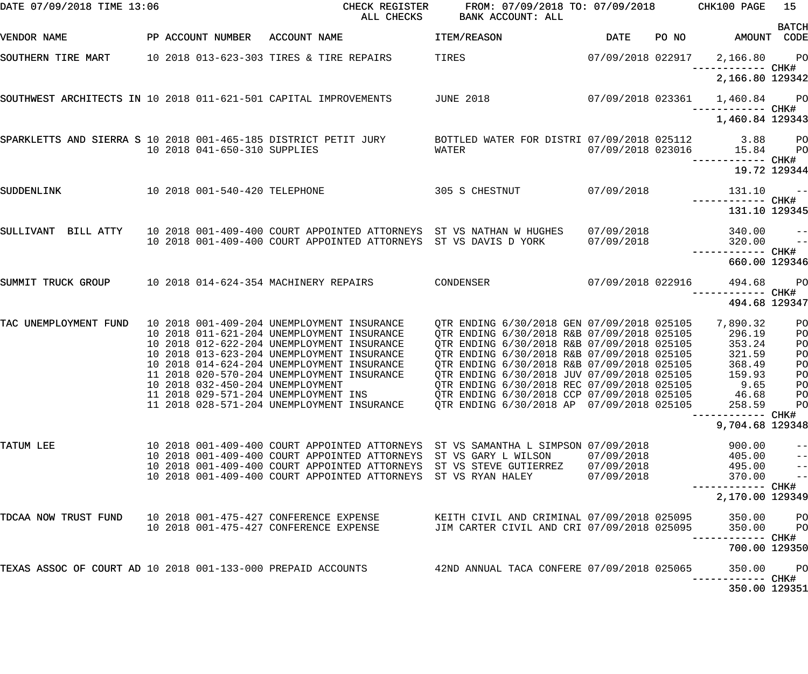| DATE 07/09/2018 TIME 13:06                                       |  |                               | CHECK REGISTER<br>ALL CHECKS                                                                                                            | FROM: 07/09/2018 TO: 07/09/2018<br>BANK ACCOUNT: ALL                                                                                   |                          |       | CHK100 PAGE                        | 15                                     |
|------------------------------------------------------------------|--|-------------------------------|-----------------------------------------------------------------------------------------------------------------------------------------|----------------------------------------------------------------------------------------------------------------------------------------|--------------------------|-------|------------------------------------|----------------------------------------|
| VENDOR NAME                                                      |  | PP ACCOUNT NUMBER             | ACCOUNT NAME                                                                                                                            | ITEM/REASON                                                                                                                            | <b>DATE</b>              | PO NO | AMOUNT CODE                        | <b>BATCH</b>                           |
| SOUTHERN TIRE MART                                               |  |                               | 10 2018 013-623-303 TIRES & TIRE REPAIRS                                                                                                | TIRES                                                                                                                                  | 07/09/2018 022917        |       | 2,166.80<br>—————————— CHK#        | PO <sub>1</sub>                        |
|                                                                  |  |                               |                                                                                                                                         |                                                                                                                                        |                          |       | 2,166.80 129342                    |                                        |
| SOUTHWEST ARCHITECTS IN 10 2018 011-621-501 CAPITAL IMPROVEMENTS |  |                               |                                                                                                                                         | <b>JUNE 2018</b>                                                                                                                       | 07/09/2018 023361        |       | 1,460.84 PO<br>—————————— CHK#     |                                        |
|                                                                  |  |                               |                                                                                                                                         |                                                                                                                                        |                          |       | 1,460.84 129343                    |                                        |
|                                                                  |  | 10 2018 041-650-310 SUPPLIES  | SPARKLETTS AND SIERRA S 10 2018 001-465-185 DISTRICT PETIT JURY                                                                         | BOTTLED WATER FOR DISTRI 07/09/2018 025112<br>WATER                                                                                    | 07/09/2018 023016        |       | 3.88<br>15.84                      | P <sub>O</sub><br>P <sub>O</sub>       |
|                                                                  |  |                               |                                                                                                                                         |                                                                                                                                        |                          |       | —————————— CHK#<br>19.72 129344    |                                        |
| SUDDENLINK                                                       |  | 10 2018 001-540-420 TELEPHONE |                                                                                                                                         | 305 S CHESTNUT                                                                                                                         | 07/09/2018               |       | 131.10                             | $ -$                                   |
|                                                                  |  |                               |                                                                                                                                         |                                                                                                                                        |                          |       | 131.10 129345                      |                                        |
| SULLIVANT BILL ATTY                                              |  |                               | 10 2018 001-409-400 COURT APPOINTED ATTORNEYS ST VS NATHAN W HUGHES<br>10 2018 001-409-400 COURT APPOINTED ATTORNEYS ST VS DAVIS D YORK |                                                                                                                                        | 07/09/2018<br>07/09/2018 |       | 340.00<br>320.00                   | $\qquad \qquad -$<br>$\qquad \qquad -$ |
|                                                                  |  |                               |                                                                                                                                         |                                                                                                                                        |                          |       | 660.00 129346                      |                                        |
| SUMMIT TRUCK GROUP                                               |  |                               | 10 2018 014-624-354 MACHINERY REPAIRS                                                                                                   | CONDENSER                                                                                                                              | 07/09/2018 022916        |       | 494.68                             | $P$ O                                  |
|                                                                  |  |                               |                                                                                                                                         |                                                                                                                                        |                          |       | ------------ CHK#<br>494.68 129347 |                                        |
| TAC UNEMPLOYMENT FUND                                            |  |                               | 10 2018 001-409-204 UNEMPLOYMENT INSURANCE<br>10 2018 011-621-204 UNEMPLOYMENT INSURANCE<br>10 2018 012-622-204 UNEMPLOYMENT INSURANCE  | QTR ENDING 6/30/2018 GEN 07/09/2018 025105<br>QTR ENDING 6/30/2018 R&B 07/09/2018 025105<br>OTR ENDING 6/30/2018 R&B 07/09/2018 025105 |                          |       | 7,890.32<br>296.19<br>353.24       | PO<br>PO<br>PO                         |
|                                                                  |  |                               | 10 2018 013-623-204 UNEMPLOYMENT INSURANCE<br>10 2018 014-624-204 UNEMPLOYMENT INSURANCE                                                | OTR ENDING 6/30/2018 R&B 07/09/2018 025105                                                                                             |                          |       | 321.59                             | PO                                     |
|                                                                  |  |                               | 11 2018 020-570-204 UNEMPLOYMENT INSURANCE                                                                                              | QTR ENDING 6/30/2018 R&B 07/09/2018 025105<br>QTR ENDING 6/30/2018 JUV 07/09/2018 025105                                               |                          |       | 368.49<br>159.93                   | PO<br>PO                               |
|                                                                  |  |                               | 10 2018 032-450-204 UNEMPLOYMENT<br>11 2018 029-571-204 UNEMPLOYMENT INS                                                                | QTR ENDING 6/30/2018 REC 07/09/2018 025105<br>QTR ENDING 6/30/2018 CCP 07/09/2018 025105                                               |                          |       | 9.65<br>46.68                      | P <sub>O</sub><br>P <sub>O</sub>       |
|                                                                  |  |                               | 11 2018 028-571-204 UNEMPLOYMENT INSURANCE                                                                                              | OTR ENDING 6/30/2018 AP 07/09/2018 025105                                                                                              |                          |       | 258.59<br>----------- CHK#         | P <sub>O</sub>                         |
|                                                                  |  |                               |                                                                                                                                         |                                                                                                                                        |                          |       | 9,704.68 129348                    |                                        |
| TATUM LEE                                                        |  |                               | 10 2018 001-409-400 COURT APPOINTED ATTORNEYS ST VS SAMANTHA L SIMPSON 07/09/2018                                                       |                                                                                                                                        |                          |       | 900.00                             | $-$                                    |
|                                                                  |  |                               | 10 2018 001-409-400 COURT APPOINTED ATTORNEYS ST VS GARY L WILSON                                                                       |                                                                                                                                        | 07/09/2018               |       | 405.00                             | $ -$                                   |
|                                                                  |  |                               | 10 2018 001-409-400 COURT APPOINTED ATTORNEYS<br>10 2018 001-409-400 COURT APPOINTED ATTORNEYS                                          | ST VS STEVE GUTIERREZ<br>ST VS RYAN HALEY                                                                                              | 07/09/2018<br>07/09/2018 |       | 495.00<br>370.00                   | $ -$<br>$ -$                           |
|                                                                  |  |                               |                                                                                                                                         |                                                                                                                                        |                          |       | 2,170.00 129349                    |                                        |
| TDCAA NOW TRUST FUND                                             |  |                               | 10 2018 001-475-427 CONFERENCE EXPENSE                                                                                                  | KEITH CIVIL AND CRIMINAL 07/09/2018 025095                                                                                             |                          |       | 350.00                             | P <sub>O</sub>                         |
|                                                                  |  |                               | 10 2018 001-475-427 CONFERENCE EXPENSE                                                                                                  | JIM CARTER CIVIL AND CRI 07/09/2018 025095                                                                                             |                          |       | 350.00<br>------------ CHK#        | P <sub>O</sub>                         |
|                                                                  |  |                               |                                                                                                                                         |                                                                                                                                        |                          |       | 700.00 129350                      |                                        |
|                                                                  |  |                               | TEXAS ASSOC OF COURT AD 10 2018 001-133-000 PREPAID ACCOUNTS 42ND ANNUAL TACA CONFERE 07/09/2018 025065                                 |                                                                                                                                        |                          |       | 350.00<br>-----------         CHK# | $P$ O                                  |
|                                                                  |  |                               |                                                                                                                                         |                                                                                                                                        |                          |       | 350.00 129351                      |                                        |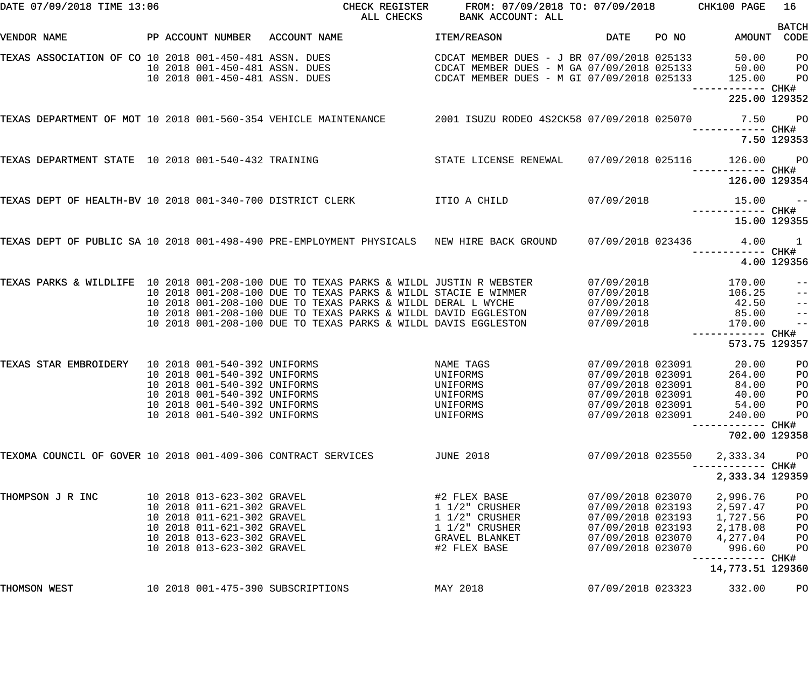| DATE 07/09/2018 TIME 13:06                                    |  |                                                                  | CHECK REGISTER<br>ALL CHECKS                                                                                                                             | FROM: 07/09/2018 TO: 07/09/2018 CHK100 PAGE<br><b>BANK ACCOUNT: ALL</b>                                                                |                                        |       |                                    | 16                                     |
|---------------------------------------------------------------|--|------------------------------------------------------------------|----------------------------------------------------------------------------------------------------------------------------------------------------------|----------------------------------------------------------------------------------------------------------------------------------------|----------------------------------------|-------|------------------------------------|----------------------------------------|
| VENDOR NAME                                                   |  | PP ACCOUNT NUMBER                                                | ACCOUNT NAME                                                                                                                                             | ITEM/REASON                                                                                                                            | <b>DATE</b>                            | PO NO | AMOUNT CODE                        | <b>BATCH</b>                           |
| TEXAS ASSOCIATION OF CO 10 2018 001-450-481 ASSN. DUES        |  | 10 2018 001-450-481 ASSN. DUES<br>10 2018 001-450-481 ASSN. DUES |                                                                                                                                                          | CDCAT MEMBER DUES - J BR 07/09/2018 025133<br>CDCAT MEMBER DUES - M GA 07/09/2018 025133<br>CDCAT MEMBER DUES - M GI 07/09/2018 025133 |                                        |       | 50.00<br>50.00<br>125.00           | P <sub>O</sub><br>PO<br>P <sub>O</sub> |
|                                                               |  |                                                                  |                                                                                                                                                          |                                                                                                                                        |                                        |       | 225.00 129352                      |                                        |
|                                                               |  |                                                                  | TEXAS DEPARTMENT OF MOT 10 2018 001-560-354 VEHICLE MAINTENANCE 2001 ISUZU RODEO 4S2CK58 07/09/2018 025070                                               |                                                                                                                                        |                                        |       |                                    | 7.50 PO                                |
|                                                               |  |                                                                  |                                                                                                                                                          |                                                                                                                                        |                                        |       |                                    | 7.50 129353                            |
| TEXAS DEPARTMENT STATE 10 2018 001-540-432 TRAINING           |  |                                                                  |                                                                                                                                                          | STATE LICENSE RENEWAL                                                                                                                  | 07/09/2018 025116                      |       | 126.00<br>----------- CHK#         | <b>PO</b>                              |
|                                                               |  |                                                                  |                                                                                                                                                          |                                                                                                                                        |                                        |       | 126.00 129354                      |                                        |
| TEXAS DEPT OF HEALTH-BV 10 2018 001-340-700 DISTRICT CLERK    |  |                                                                  |                                                                                                                                                          | ITIO A CHILD                                                                                                                           | 07/09/2018                             |       | 15.00                              | $\sim$ $ -$                            |
|                                                               |  |                                                                  |                                                                                                                                                          |                                                                                                                                        |                                        |       | 15.00 129355                       |                                        |
|                                                               |  |                                                                  | TEXAS DEPT OF PUBLIC SA 10 2018 001-498-490 PRE-EMPLOYMENT PHYSICALS ANEW HIRE BACK GROUND                                                               |                                                                                                                                        | 07/09/2018 023436                      |       | 4.00                               | $\overline{1}$                         |
|                                                               |  |                                                                  |                                                                                                                                                          |                                                                                                                                        |                                        |       |                                    | 4.00 129356                            |
|                                                               |  |                                                                  | TEXAS PARKS & WILDLIFE 10 2018 001-208-100 DUE TO TEXAS PARKS & WILDL JUSTIN R WEBSTER<br>10 2018 001-208-100 DUE TO TEXAS PARKS & WILDL STACIE E WIMMER |                                                                                                                                        | 07/09/2018<br>07/09/2018               |       | 170.00<br>106.25                   | $ -$<br>$\qquad \qquad -$              |
|                                                               |  |                                                                  | 10 2018 001-208-100 DUE TO TEXAS PARKS & WILDL DERAL L WYCHE                                                                                             |                                                                                                                                        | 07/09/2018                             |       | 42.50                              | $\frac{1}{2}$                          |
|                                                               |  |                                                                  | 10 2018 001-208-100 DUE TO TEXAS PARKS & WILDL DAVID EGGLESTON                                                                                           |                                                                                                                                        | 07/09/2018                             |       | 85.00                              | $\frac{1}{2}$                          |
|                                                               |  |                                                                  | 10 2018 001-208-100 DUE TO TEXAS PARKS & WILDL DAVIS EGGLESTON                                                                                           |                                                                                                                                        | 07/09/2018                             |       | 170.00                             | $-$                                    |
|                                                               |  |                                                                  |                                                                                                                                                          |                                                                                                                                        |                                        |       | ------------ CHK#<br>573.75 129357 |                                        |
| TEXAS STAR EMBROIDERY                                         |  | 10 2018 001-540-392 UNIFORMS                                     |                                                                                                                                                          | NAME TAGS                                                                                                                              | 07/09/2018 023091                      |       | 20.00                              | PО                                     |
|                                                               |  | 10 2018 001-540-392 UNIFORMS                                     |                                                                                                                                                          | UNIFORMS                                                                                                                               | 07/09/2018 023091                      |       | 264.00                             | PO                                     |
|                                                               |  | 10 2018 001-540-392 UNIFORMS<br>10 2018 001-540-392 UNIFORMS     |                                                                                                                                                          | UNIFORMS<br>UNIFORMS                                                                                                                   | 07/09/2018 023091<br>07/09/2018 023091 |       | 84.00<br>40.00                     | P <sub>O</sub><br>PO                   |
|                                                               |  | 10 2018 001-540-392 UNIFORMS                                     |                                                                                                                                                          | UNIFORMS                                                                                                                               | 07/09/2018 023091                      |       | 54.00                              | PO                                     |
|                                                               |  | 10 2018 001-540-392 UNIFORMS                                     |                                                                                                                                                          | UNIFORMS                                                                                                                               | 07/09/2018 023091                      |       | 240.00                             | PO                                     |
|                                                               |  |                                                                  |                                                                                                                                                          |                                                                                                                                        |                                        |       |                                    |                                        |
|                                                               |  |                                                                  |                                                                                                                                                          |                                                                                                                                        |                                        |       | 702.00 129358                      |                                        |
| TEXOMA COUNCIL OF GOVER 10 2018 001-409-306 CONTRACT SERVICES |  |                                                                  |                                                                                                                                                          | <b>JUNE 2018</b>                                                                                                                       | 07/09/2018 023550                      |       | 2,333.34<br>---------- CHK#        | PO                                     |
|                                                               |  |                                                                  |                                                                                                                                                          |                                                                                                                                        |                                        |       | 2,333.34 129359                    |                                        |
| THOMPSON J R INC                                              |  | 10 2018 013-623-302 GRAVEL                                       |                                                                                                                                                          | #2 FLEX BASE                                                                                                                           | 07/09/2018 023070                      |       | 2,996.76                           | PO                                     |
|                                                               |  | 10 2018 011-621-302 GRAVEL                                       |                                                                                                                                                          | $1\ 1/2$ " CRUSHER                                                                                                                     | 07/09/2018 023193                      |       | 2,597.47                           | PO                                     |
|                                                               |  | 10 2018 011-621-302 GRAVEL                                       |                                                                                                                                                          | $1\ 1/2$ " CRUSHER                                                                                                                     | 07/09/2018 023193                      |       | 1,727.56                           | PO                                     |
|                                                               |  | 10 2018 011-621-302 GRAVEL                                       |                                                                                                                                                          | $1\frac{1}{2}$ CRUSHER                                                                                                                 | 07/09/2018 023193                      |       | 2,178.08                           | PO                                     |
|                                                               |  | 10 2018 013-623-302 GRAVEL                                       |                                                                                                                                                          | GRAVEL BLANKET                                                                                                                         | 07/09/2018 023070                      |       | 4,277.04                           | PO                                     |
|                                                               |  | 10 2018 013-623-302 GRAVEL                                       |                                                                                                                                                          | #2 FLEX BASE                                                                                                                           | 07/09/2018 023070                      |       | 996.60                             | PO                                     |
|                                                               |  |                                                                  |                                                                                                                                                          |                                                                                                                                        |                                        |       | ---------- CHK#                    |                                        |
|                                                               |  |                                                                  |                                                                                                                                                          |                                                                                                                                        |                                        |       | 14,773.51 129360                   |                                        |
| THOMSON WEST                                                  |  |                                                                  | 10 2018 001-475-390 SUBSCRIPTIONS                                                                                                                        | MAY 2018                                                                                                                               | 07/09/2018 023323                      |       | 332.00                             | PO                                     |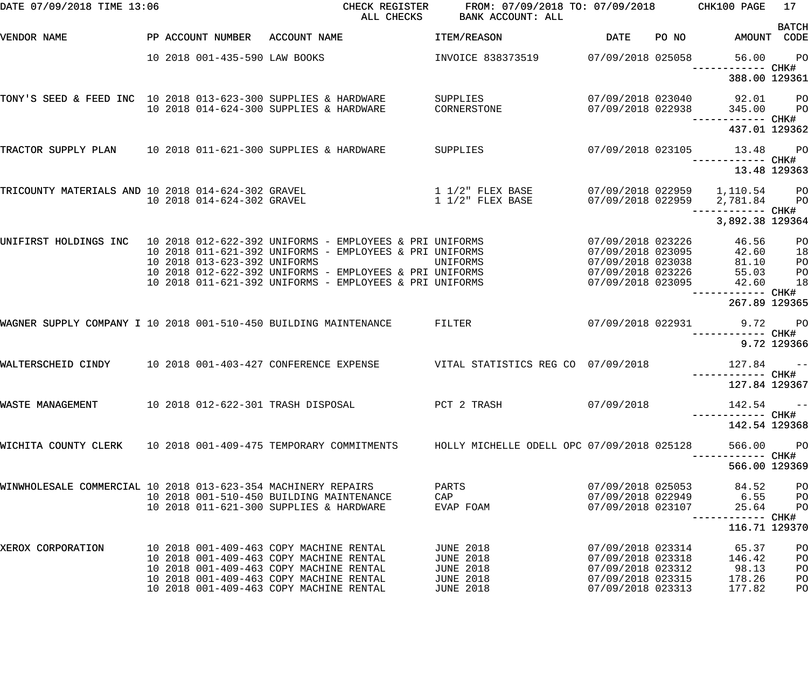| DATE 07/09/2018 TIME 13:06                                       |                               | CHECK REGISTER<br>ALL CHECKS                                                        | FROM: 07/09/2018 TO: 07/09/2018<br>BANK ACCOUNT: ALL |                                        |       | CHK100 PAGE                            | 17                               |
|------------------------------------------------------------------|-------------------------------|-------------------------------------------------------------------------------------|------------------------------------------------------|----------------------------------------|-------|----------------------------------------|----------------------------------|
| VENDOR NAME                                                      | PP ACCOUNT NUMBER             | ACCOUNT NAME                                                                        | ITEM/REASON                                          | DATE                                   | PO NO | AMOUNT CODE                            | <b>BATCH</b>                     |
|                                                                  | 10 2018 001-435-590 LAW BOOKS |                                                                                     | INVOICE 838373519                                    | 07/09/2018 025058                      |       | 56.00                                  | $P$ O                            |
|                                                                  |                               |                                                                                     |                                                      |                                        |       | 388.00 129361                          |                                  |
| TONY'S SEED & FEED INC 10 2018 013-623-300 SUPPLIES & HARDWARE   |                               | 10 2018 014-624-300 SUPPLIES & HARDWARE                                             | SUPPLIES<br>CORNERSTONE                              | 07/09/2018 023040<br>07/09/2018 022938 |       | 92.01<br>345.00                        | $P$ O<br>$P$ O                   |
|                                                                  |                               |                                                                                     |                                                      |                                        |       | 437.01 129362                          |                                  |
| TRACTOR SUPPLY PLAN 10 2018 011-621-300 SUPPLIES & HARDWARE      |                               |                                                                                     | SUPPLIES                                             | 07/09/2018 023105                      |       | 13.48                                  | <b>PO</b>                        |
|                                                                  |                               |                                                                                     |                                                      |                                        |       | ----------- CHK#<br>13.48 129363       |                                  |
|                                                                  |                               |                                                                                     | $1\,1/2$ " FLEX BASE                                 |                                        |       |                                        |                                  |
|                                                                  | 10 2018 014-624-302 GRAVEL    | TRICOUNTY MATERIALS AND 10 2018 014-624-302 GRAVEL                                  | $1\ 1/2$ " FLEX BASE                                 | 07/09/2018 022959                      |       | 07/09/2018 022959 1,110.54<br>2,781.84 | <b>PO</b><br><b>PO</b>           |
|                                                                  |                               |                                                                                     |                                                      |                                        |       | —————————— CHK#<br>3,892.38 129364     |                                  |
|                                                                  |                               | UNIFIRST HOLDINGS INC 10 2018 012-622-392 UNIFORMS - EMPLOYEES & PRI UNIFORMS       |                                                      | 07/09/2018 023226                      |       | 46.56                                  | PO                               |
|                                                                  | 10 2018 013-623-392 UNIFORMS  | 10 2018 011-621-392 UNIFORMS - EMPLOYEES & PRI UNIFORMS                             | UNIFORMS                                             | 07/09/2018 023095<br>07/09/2018 023038 |       | 42.60<br>81.10                         | 18                               |
|                                                                  |                               | 10 2018 012-622-392 UNIFORMS - EMPLOYEES & PRI UNIFORMS                             |                                                      | 07/09/2018 023226                      |       | 55.03                                  | PO<br>PO                         |
|                                                                  |                               | 10 2018 011-621-392 UNIFORMS - EMPLOYEES & PRI UNIFORMS                             |                                                      | 07/09/2018 023095                      |       | 42.60                                  | 18                               |
|                                                                  |                               |                                                                                     |                                                      |                                        |       | 267.89 129365                          |                                  |
| WAGNER SUPPLY COMPANY I 10 2018 001-510-450 BUILDING MAINTENANCE |                               |                                                                                     | FILTER                                               | 07/09/2018 022931                      |       | 9.72                                   | <b>PO</b>                        |
|                                                                  |                               |                                                                                     |                                                      |                                        |       |                                        | 9.72 129366                      |
| WALTERSCHEID CINDY                                               |                               | 10 2018 001-403-427 CONFERENCE EXPENSE                                              | VITAL STATISTICS REG CO 07/09/2018                   |                                        |       | 127.84                                 | $ -$                             |
|                                                                  |                               |                                                                                     |                                                      |                                        |       | 127.84 129367                          |                                  |
| WASTE MANAGEMENT                                                 |                               | 10 2018 012-622-301 TRASH DISPOSAL                                                  | PCT 2 TRASH                                          | 07/09/2018                             |       | 142.54                                 | $ -$                             |
|                                                                  |                               |                                                                                     |                                                      |                                        |       | 142.54 129368                          |                                  |
| WICHITA COUNTY CLERK 10 2018 001-409-475 TEMPORARY COMMITMENTS   |                               |                                                                                     | HOLLY MICHELLE ODELL OPC 07/09/2018 025128           |                                        |       | 566.00                                 | $P$ O                            |
|                                                                  |                               |                                                                                     |                                                      |                                        |       | 566.00 129369                          |                                  |
| WINWHOLESALE COMMERCIAL 10 2018 013-623-354 MACHINERY REPAIRS    |                               |                                                                                     | PARTS                                                | 07/09/2018 025053                      |       | 84.52                                  | P <sub>O</sub>                   |
|                                                                  |                               | 10 2018 001-510-450 BUILDING MAINTENANCE<br>10 2018 011-621-300 SUPPLIES & HARDWARE | CAP<br>EVAP FOAM                                     | 07/09/2018 023107                      |       | 07/09/2018 022949 6.55<br>25.64        | P <sub>O</sub><br>P <sub>O</sub> |
|                                                                  |                               |                                                                                     |                                                      |                                        |       | —————————— CHK#<br>116.71 129370       |                                  |
| XEROX CORPORATION                                                |                               | 10 2018 001-409-463 COPY MACHINE RENTAL                                             | <b>JUNE 2018</b>                                     | 07/09/2018 023314                      |       | 65.37                                  | PO                               |
|                                                                  |                               | 10 2018 001-409-463 COPY MACHINE RENTAL                                             | <b>JUNE 2018</b>                                     | 07/09/2018 023318                      |       | 146.42                                 | PO                               |
|                                                                  |                               | 10 2018 001-409-463 COPY MACHINE RENTAL                                             | <b>JUNE 2018</b>                                     | 07/09/2018 023312                      |       | 98.13                                  | PO                               |
|                                                                  |                               | 10 2018 001-409-463 COPY MACHINE RENTAL                                             | <b>JUNE 2018</b>                                     | 07/09/2018 023315                      |       | 178.26                                 | PO                               |
|                                                                  |                               | 10 2018 001-409-463 COPY MACHINE RENTAL                                             | <b>JUNE 2018</b>                                     | 07/09/2018 023313                      |       | 177.82                                 | PO                               |